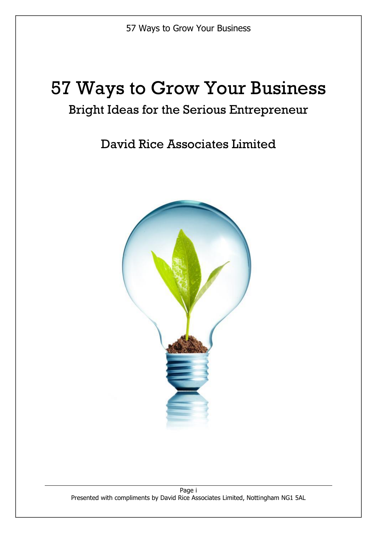# 57 Ways to Grow Your Business

# Bright Ideas for the Serious Entrepreneur

David Rice Associates Limited

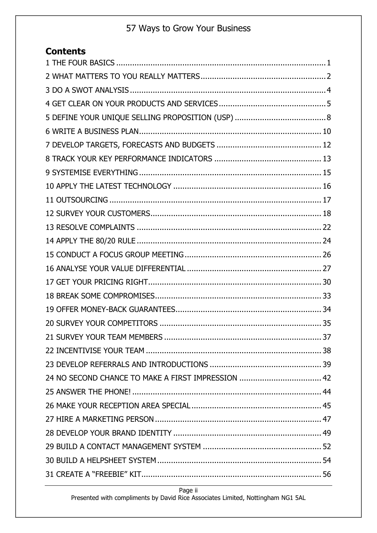# **Contents**

Page ii

Presented with compliments by David Rice Associates Limited, Nottingham NG1 5AL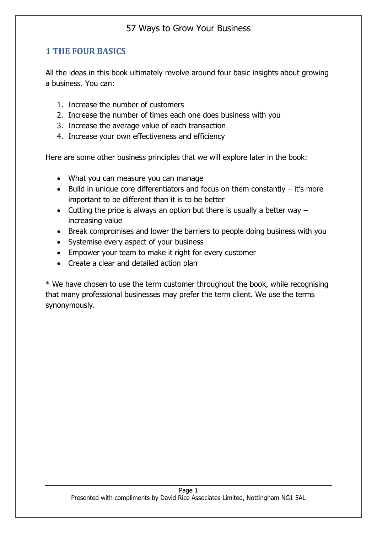#### <span id="page-3-0"></span>**1 THE FOUR BASICS**

All the ideas in this book ultimately revolve around four basic insights about growing a business. You can:

- 1. Increase the number of customers
- 2. Increase the number of times each one does business with you
- 3. Increase the average value of each transaction
- 4. Increase your own effectiveness and efficiency

Here are some other business principles that we will explore later in the book:

- What you can measure you can manage
- Build in unique core differentiators and focus on them constantly  $-$  it's more important to be different than it is to be better
- Cutting the price is always an option but there is usually a better way  $$ increasing value
- Break compromises and lower the barriers to people doing business with you
- Systemise every aspect of your business
- Empower your team to make it right for every customer
- Create a clear and detailed action plan

\* We have chosen to use the term customer throughout the book, while recognising that many professional businesses may prefer the term client. We use the terms synonymously.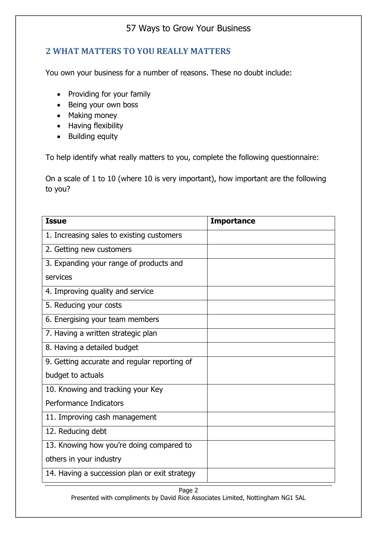#### <span id="page-4-0"></span>**2 WHAT MATTERS TO YOU REALLY MATTERS**

You own your business for a number of reasons. These no doubt include:

- Providing for your family
- Being your own boss
- Making money
- Having flexibility
- Building equity

To help identify what really matters to you, complete the following questionnaire:

On a scale of 1 to 10 (where 10 is very important), how important are the following to you?

| <b>Issue</b>                                  | <b>Importance</b> |
|-----------------------------------------------|-------------------|
| 1. Increasing sales to existing customers     |                   |
| 2. Getting new customers                      |                   |
| 3. Expanding your range of products and       |                   |
| services                                      |                   |
| 4. Improving quality and service              |                   |
| 5. Reducing your costs                        |                   |
| 6. Energising your team members               |                   |
| 7. Having a written strategic plan            |                   |
| 8. Having a detailed budget                   |                   |
| 9. Getting accurate and regular reporting of  |                   |
| budget to actuals                             |                   |
| 10. Knowing and tracking your Key             |                   |
| Performance Indicators                        |                   |
| 11. Improving cash management                 |                   |
| 12. Reducing debt                             |                   |
| 13. Knowing how you're doing compared to      |                   |
| others in your industry                       |                   |
| 14. Having a succession plan or exit strategy |                   |

# Page 2

Presented with compliments by David Rice Associates Limited, Nottingham NG1 5AL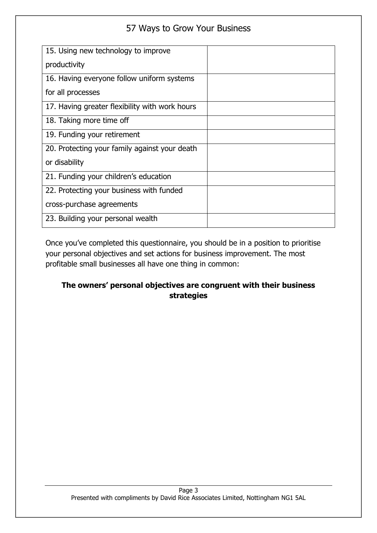| 15. Using new technology to improve            |  |
|------------------------------------------------|--|
| productivity                                   |  |
| 16. Having everyone follow uniform systems     |  |
| for all processes                              |  |
| 17. Having greater flexibility with work hours |  |
| 18. Taking more time off                       |  |
| 19. Funding your retirement                    |  |
| 20. Protecting your family against your death  |  |
| or disability                                  |  |
| 21. Funding your children's education          |  |
| 22. Protecting your business with funded       |  |
| cross-purchase agreements                      |  |
| 23. Building your personal wealth              |  |

Once you've completed this questionnaire, you should be in a position to prioritise your personal objectives and set actions for business improvement. The most profitable small businesses all have one thing in common:

#### **The owners' personal objectives are congruent with their business strategies**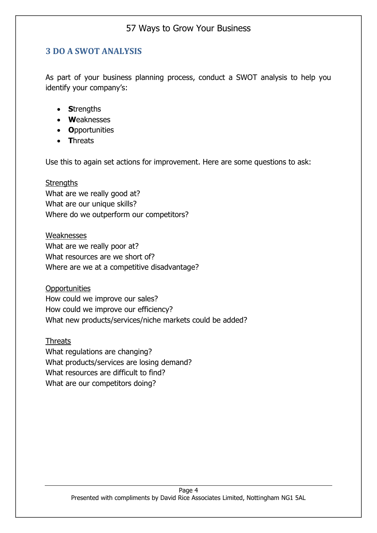#### <span id="page-6-0"></span>**3 DO A SWOT ANALYSIS**

As part of your business planning process, conduct a SWOT analysis to help you identify your company's:

- **S**trengths
- **W**eaknesses
- **O**pportunities
- **T**hreats

Use this to again set actions for improvement. Here are some questions to ask:

#### **Strengths**

What are we really good at? What are our unique skills? Where do we outperform our competitors?

Weaknesses What are we really poor at? What resources are we short of? Where are we at a competitive disadvantage?

**Opportunities** How could we improve our sales? How could we improve our efficiency? What new products/services/niche markets could be added?

Threats What regulations are changing? What products/services are losing demand? What resources are difficult to find? What are our competitors doing?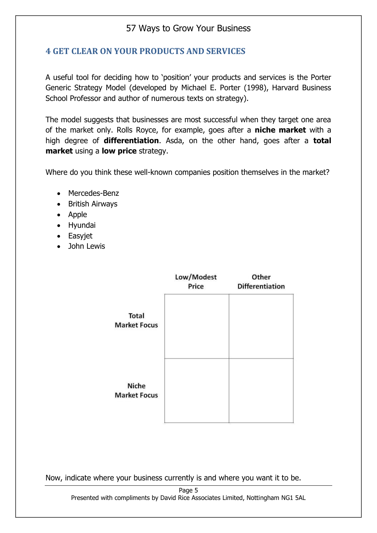#### <span id="page-7-0"></span>**4 GET CLEAR ON YOUR PRODUCTS AND SERVICES**

A useful tool for deciding how to 'position' your products and services is the Porter Generic Strategy Model (developed by Michael E. Porter (1998), Harvard Business School Professor and author of numerous texts on strategy).

The model suggests that businesses are most successful when they target one area of the market only. Rolls Royce, for example, goes after a **niche market** with a high degree of **differentiation**. Asda, on the other hand, goes after a **total market** using a **low price** strategy.

Where do you think these well-known companies position themselves in the market?

- Mercedes-Benz
- British Airways
- Apple
- Hyundai
- Easyjet
- John Lewis

|                                     | Low/Modest<br>Price | Other<br><b>Differentiation</b> |
|-------------------------------------|---------------------|---------------------------------|
| <b>Total</b><br><b>Market Focus</b> |                     |                                 |
| <b>Niche</b><br><b>Market Focus</b> |                     |                                 |

Now, indicate where your business currently is and where you want it to be.

Page 5 Presented with compliments by David Rice Associates Limited, Nottingham NG1 5AL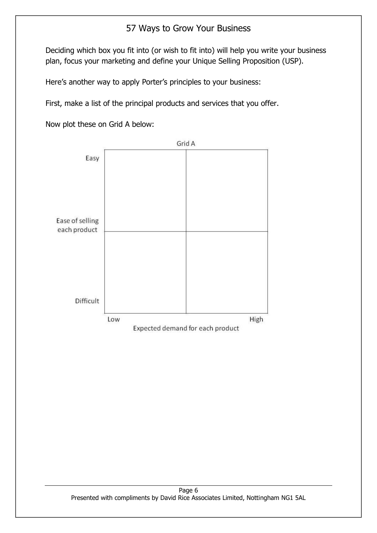Deciding which box you fit into (or wish to fit into) will help you write your business plan, focus your marketing and define your Unique Selling Proposition (USP).

Here's another way to apply Porter's principles to your business:

First, make a list of the principal products and services that you offer.

Now plot these on Grid A below:

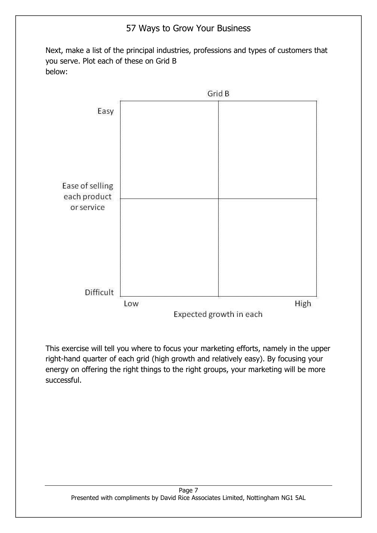Next, make a list of the principal industries, professions and types of customers that you serve. Plot each of these on Grid B below:



This exercise will tell you where to focus your marketing efforts, namely in the upper right-hand quarter of each grid (high growth and relatively easy). By focusing your energy on offering the right things to the right groups, your marketing will be more successful.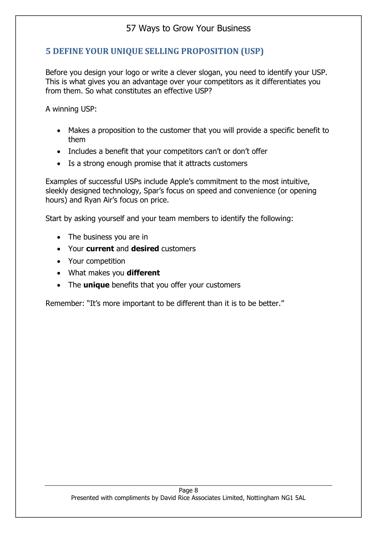#### <span id="page-10-0"></span>**5 DEFINE YOUR UNIQUE SELLING PROPOSITION (USP)**

Before you design your logo or write a clever slogan, you need to identify your USP. This is what gives you an advantage over your competitors as it differentiates you from them. So what constitutes an effective USP?

A winning USP:

- Makes a proposition to the customer that you will provide a specific benefit to them
- Includes a benefit that your competitors can't or don't offer
- Is a strong enough promise that it attracts customers

Examples of successful USPs include Apple's commitment to the most intuitive, sleekly designed technology, Spar's focus on speed and convenience (or opening hours) and Ryan Air's focus on price.

Start by asking yourself and your team members to identify the following:

- The business you are in
- Your **current** and **desired** customers
- Your competition
- What makes you **different**
- The **unique** benefits that you offer your customers

Remember: "It's more important to be different than it is to be better."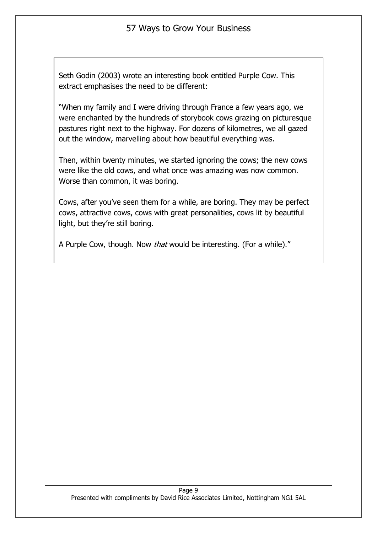Seth Godin (2003) wrote an interesting book entitled Purple Cow. This extract emphasises the need to be different:

"When my family and I were driving through France a few years ago, we were enchanted by the hundreds of storybook cows grazing on picturesque pastures right next to the highway. For dozens of kilometres, we all gazed out the window, marvelling about how beautiful everything was.

Then, within twenty minutes, we started ignoring the cows; the new cows were like the old cows, and what once was amazing was now common. Worse than common, it was boring.

Cows, after you've seen them for a while, are boring. They may be perfect cows, attractive cows, cows with great personalities, cows lit by beautiful light, but they're still boring.

A Purple Cow, though. Now *that* would be interesting. (For a while)."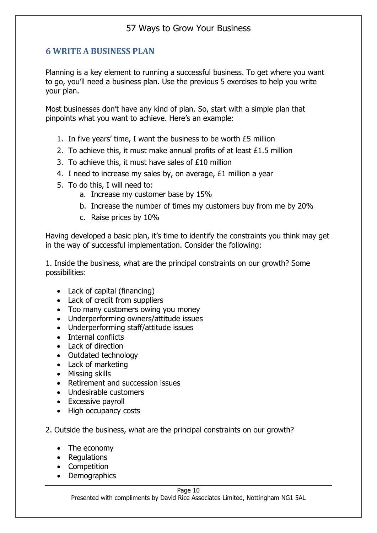#### <span id="page-12-0"></span>**6 WRITE A BUSINESS PLAN**

Planning is a key element to running a successful business. To get where you want to go, you'll need a business plan. Use the previous 5 exercises to help you write your plan.

Most businesses don't have any kind of plan. So, start with a simple plan that pinpoints what you want to achieve. Here's an example:

- 1. In five years' time, I want the business to be worth £5 million
- 2. To achieve this, it must make annual profits of at least £1.5 million
- 3. To achieve this, it must have sales of £10 million
- 4. I need to increase my sales by, on average, £1 million a year
- 5. To do this, I will need to:
	- a. Increase my customer base by 15%
	- b. Increase the number of times my customers buy from me by 20%
	- c. Raise prices by 10%

Having developed a basic plan, it's time to identify the constraints you think may get in the way of successful implementation. Consider the following:

1. Inside the business, what are the principal constraints on our growth? Some possibilities:

- Lack of capital (financing)
- Lack of credit from suppliers
- Too many customers owing you money
- Underperforming owners/attitude issues
- Underperforming staff/attitude issues
- Internal conflicts
- Lack of direction
- Outdated technology
- Lack of marketing
- Missing skills
- Retirement and succession issues
- Undesirable customers
- Excessive payroll
- High occupancy costs
- 2. Outside the business, what are the principal constraints on our growth?
	- The economy
	- Regulations
	- Competition
	- Demographics

Presented with compliments by David Rice Associates Limited, Nottingham NG1 5AL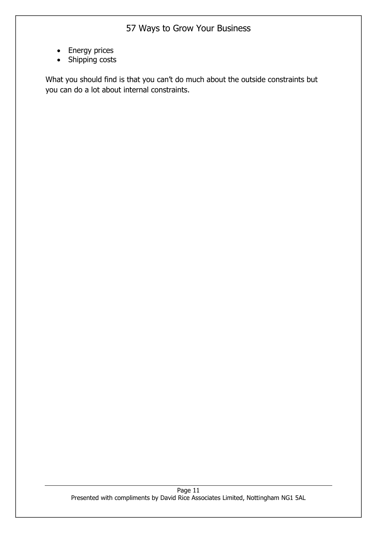- Energy prices
- Shipping costs

What you should find is that you can't do much about the outside constraints but you can do a lot about internal constraints.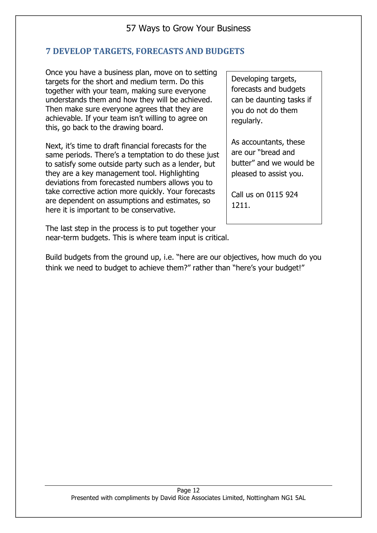#### <span id="page-14-0"></span>**7 DEVELOP TARGETS, FORECASTS AND BUDGETS**

Once you have a business plan, move on to setting targets for the short and medium term. Do this together with your team, making sure everyone understands them and how they will be achieved. Then make sure everyone agrees that they are achievable. If your team isn't willing to agree on this, go back to the drawing board.

Next, it's time to draft financial forecasts for the same periods. There's a temptation to do these just to satisfy some outside party such as a lender, but they are a key management tool. Highlighting deviations from forecasted numbers allows you to take corrective action more quickly. Your forecasts are dependent on assumptions and estimates, so here it is important to be conservative.

The last step in the process is to put together your near-term budgets. This is where team input is critical.

Developing targets, forecasts and budgets can be daunting tasks if you do not do them regularly.

As accountants, these are our "bread and butter" and we would be pleased to assist you.

Call us on 0115 924 1211.

Build budgets from the ground up, i.e. "here are our objectives, how much do you think we need to budget to achieve them?" rather than "here's your budget!"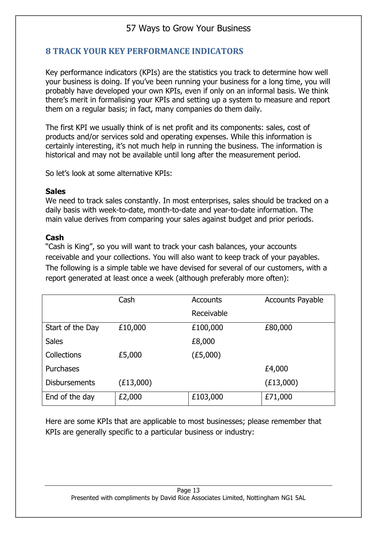#### <span id="page-15-0"></span>**8 TRACK YOUR KEY PERFORMANCE INDICATORS**

Key performance indicators (KPIs) are the statistics you track to determine how well your business is doing. If you've been running your business for a long time, you will probably have developed your own KPIs, even if only on an informal basis. We think there's merit in formalising your KPIs and setting up a system to measure and report them on a regular basis; in fact, many companies do them daily.

The first KPI we usually think of is net profit and its components: sales, cost of products and/or services sold and operating expenses. While this information is certainly interesting, it's not much help in running the business. The information is historical and may not be available until long after the measurement period.

So let's look at some alternative KPIs:

#### **Sales**

We need to track sales constantly. In most enterprises, sales should be tracked on a daily basis with week-to-date, month-to-date and year-to-date information. The main value derives from comparing your sales against budget and prior periods.

#### **Cash**

"Cash is King", so you will want to track your cash balances, your accounts receivable and your collections. You will also want to keep track of your payables. The following is a simple table we have devised for several of our customers, with a report generated at least once a week (although preferably more often):

|                      | Cash      | <b>Accounts</b> | <b>Accounts Payable</b> |
|----------------------|-----------|-----------------|-------------------------|
|                      |           | Receivable      |                         |
| Start of the Day     | £10,000   | £100,000        | £80,000                 |
| <b>Sales</b>         |           | £8,000          |                         |
| Collections          | £5,000    | (E5,000)        |                         |
| Purchases            |           |                 | £4,000                  |
| <b>Disbursements</b> | (E13,000) |                 | (E13,000)               |
| End of the day       | £2,000    | £103,000        | £71,000                 |

Here are some KPIs that are applicable to most businesses; please remember that KPIs are generally specific to a particular business or industry: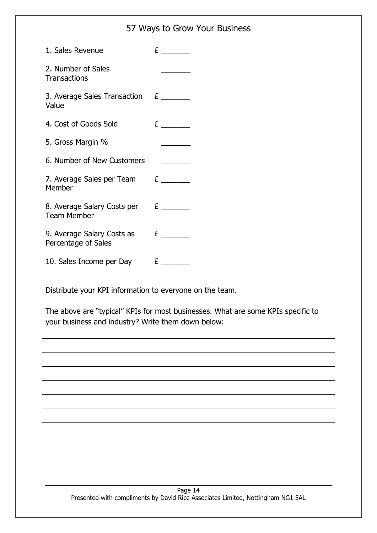|                                                      | 57 Ways to Grow Your Business |
|------------------------------------------------------|-------------------------------|
| 1. Sales Revenue                                     |                               |
| 2. Number of Sales<br><b>Transactions</b>            |                               |
| 3. Average Sales Transaction $E_{\text{2}}$<br>Value |                               |
| 4. Cost of Goods Sold                                | E                             |
| 5. Gross Margin %                                    |                               |
| 6. Number of New Customers                           |                               |
| 7. Average Sales per Team $E_{\text{max}}$<br>Member |                               |
| 8. Average Salary Costs per £<br><b>Team Member</b>  |                               |
| 9. Average Salary Costs as<br>Percentage of Sales    | E                             |
| 10. Sales Income per Day                             | E                             |

Distribute your KPI information to everyone on the team.

The above are "typical" KPIs for most businesses. What are some KPIs specific to your business and industry? Write them down below: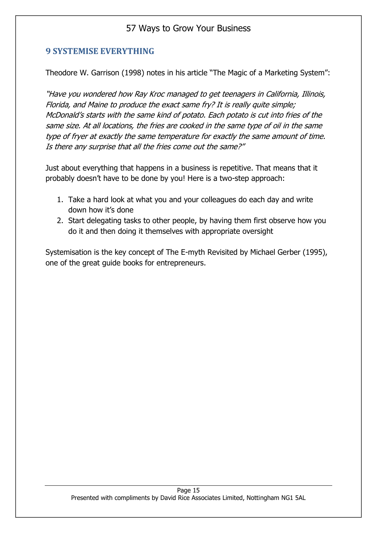#### <span id="page-17-0"></span>**9 SYSTEMISE EVERYTHING**

Theodore W. Garrison (1998) notes in his article "The Magic of a Marketing System":

"Have you wondered how Ray Kroc managed to get teenagers in California, Illinois, Florida, and Maine to produce the exact same fry? It is really quite simple; McDonald's starts with the same kind of potato. Each potato is cut into fries of the same size. At all locations, the fries are cooked in the same type of oil in the same type of fryer at exactly the same temperature for exactly the same amount of time. Is there any surprise that all the fries come out the same?"

Just about everything that happens in a business is repetitive. That means that it probably doesn't have to be done by you! Here is a two-step approach:

- 1. Take a hard look at what you and your colleagues do each day and write down how it's done
- 2. Start delegating tasks to other people, by having them first observe how you do it and then doing it themselves with appropriate oversight

Systemisation is the key concept of The E-myth Revisited by Michael Gerber (1995), one of the great guide books for entrepreneurs.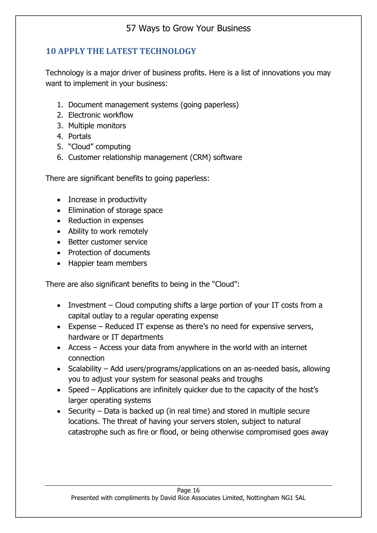### <span id="page-18-0"></span>**10 APPLY THE LATEST TECHNOLOGY**

Technology is a major driver of business profits. Here is a list of innovations you may want to implement in your business:

- 1. Document management systems (going paperless)
- 2. Electronic workflow
- 3. Multiple monitors
- 4. Portals
- 5. "Cloud" computing
- 6. Customer relationship management (CRM) software

There are significant benefits to going paperless:

- Increase in productivity
- Elimination of storage space
- Reduction in expenses
- Ability to work remotely
- Better customer service
- Protection of documents
- Happier team members

There are also significant benefits to being in the "Cloud":

- Investment Cloud computing shifts a large portion of your IT costs from a capital outlay to a regular operating expense
- Expense Reduced IT expense as there's no need for expensive servers, hardware or IT departments
- Access Access your data from anywhere in the world with an internet connection
- Scalability Add users/programs/applications on an as-needed basis, allowing you to adjust your system for seasonal peaks and troughs
- Speed Applications are infinitely quicker due to the capacity of the host's larger operating systems
- Security Data is backed up (in real time) and stored in multiple secure locations. The threat of having your servers stolen, subject to natural catastrophe such as fire or flood, or being otherwise compromised goes away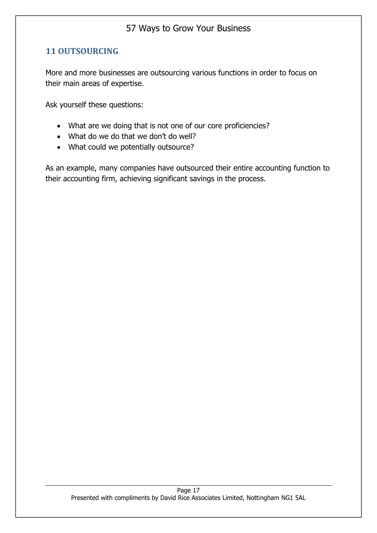#### <span id="page-19-0"></span>**11 OUTSOURCING**

More and more businesses are outsourcing various functions in order to focus on their main areas of expertise.

Ask yourself these questions:

- What are we doing that is not one of our core proficiencies?
- What do we do that we don't do well?
- What could we potentially outsource?

As an example, many companies have outsourced their entire accounting function to their accounting firm, achieving significant savings in the process.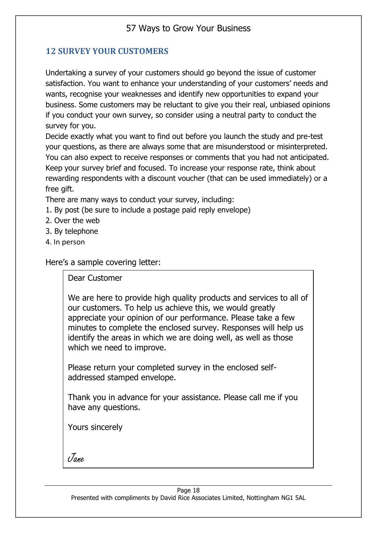#### <span id="page-20-0"></span>**12 SURVEY YOUR CUSTOMERS**

Undertaking a survey of your customers should go beyond the issue of customer satisfaction. You want to enhance your understanding of your customers' needs and wants, recognise your weaknesses and identify new opportunities to expand your business. Some customers may be reluctant to give you their real, unbiased opinions if you conduct your own survey, so consider using a neutral party to conduct the survey for you.

Decide exactly what you want to find out before you launch the study and pre-test your questions, as there are always some that are misunderstood or misinterpreted. You can also expect to receive responses or comments that you had not anticipated. Keep your survey brief and focused. To increase your response rate, think about rewarding respondents with a discount voucher (that can be used immediately) or a free gift.

There are many ways to conduct your survey, including:

- 1. By post (be sure to include a postage paid reply envelope)
- 2. Over the web
- 3. By telephone
- 4. In person

Here's a sample covering letter:

Dear Customer

We are here to provide high quality products and services to all of our customers. To help us achieve this, we would greatly appreciate your opinion of our performance. Please take a few minutes to complete the enclosed survey. Responses will help us identify the areas in which we are doing well, as well as those which we need to improve.

Please return your completed survey in the enclosed selfaddressed stamped envelope.

Thank you in advance for your assistance. Please call me if you have any questions.

Yours sincerely

Jane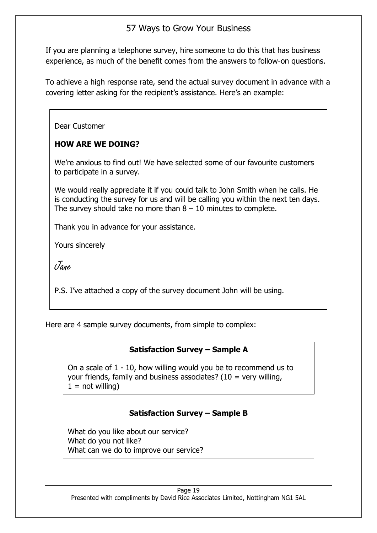If you are planning a telephone survey, hire someone to do this that has business experience, as much of the benefit comes from the answers to follow-on questions.

To achieve a high response rate, send the actual survey document in advance with a covering letter asking for the recipient's assistance. Here's an example:

Dear Customer

#### **HOW ARE WE DOING?**

We're anxious to find out! We have selected some of our favourite customers to participate in a survey.

We would really appreciate it if you could talk to John Smith when he calls. He is conducting the survey for us and will be calling you within the next ten days. The survey should take no more than  $8 - 10$  minutes to complete.

Thank you in advance for your assistance.

Yours sincerely

Jane

P.S. I've attached a copy of the survey document John will be using.

Here are 4 sample survey documents, from simple to complex:

#### **Satisfaction Survey – Sample A**

On a scale of 1 - 10, how willing would you be to recommend us to your friends, family and business associates? ( $10 = \text{very willing}$ ,  $1 = not$  willing)

#### **Satisfaction Survey – Sample B**

What do you like about our service? What do you not like? What can we do to improve our service?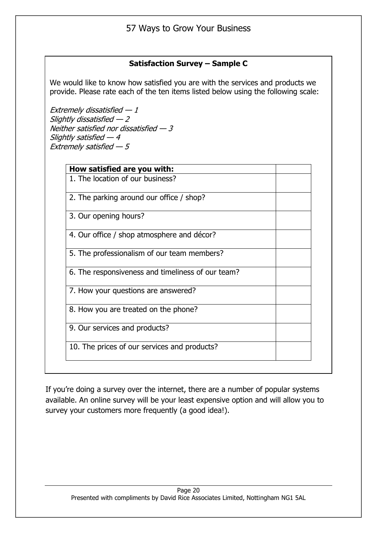#### **Satisfaction Survey – Sample C**

We would like to know how satisfied you are with the services and products we provide. Please rate each of the ten items listed below using the following scale:

Extremely dissatisfied  $-1$ Slightly dissatisfied  $-2$ Neither satisfied nor dissatisfied — 3 Slightly satisfied  $-4$ Extremely satisfied  $-5$ 

| How satisfied are you with:                       |  |
|---------------------------------------------------|--|
| 1. The location of our business?                  |  |
| 2. The parking around our office / shop?          |  |
| 3. Our opening hours?                             |  |
| 4. Our office / shop atmosphere and décor?        |  |
| 5. The professionalism of our team members?       |  |
| 6. The responsiveness and timeliness of our team? |  |
| 7. How your questions are answered?               |  |
| 8. How you are treated on the phone?              |  |
| 9. Our services and products?                     |  |
| 10. The prices of our services and products?      |  |

If you're doing a survey over the internet, there are a number of popular systems available. An online survey will be your least expensive option and will allow you to survey your customers more frequently (a good idea!).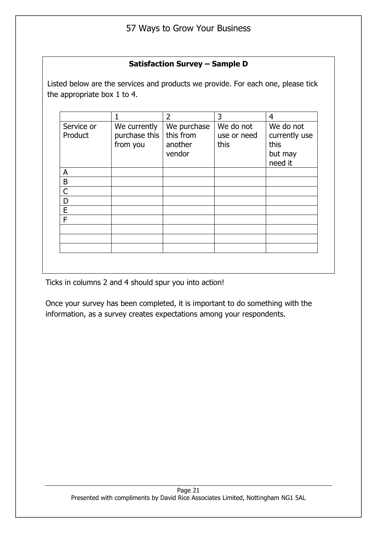#### **Satisfaction Survey – Sample D**

Listed below are the services and products we provide. For each one, please tick the appropriate box 1 to 4.

|                       |                                           | $\overline{2}$                                | 3                                | 4                                                        |
|-----------------------|-------------------------------------------|-----------------------------------------------|----------------------------------|----------------------------------------------------------|
| Service or<br>Product | We currently<br>purchase this<br>from you | We purchase<br>this from<br>another<br>vendor | We do not<br>use or need<br>this | We do not<br>currently use<br>this<br>but may<br>need it |
| A                     |                                           |                                               |                                  |                                                          |
| B                     |                                           |                                               |                                  |                                                          |
| $\overline{C}$        |                                           |                                               |                                  |                                                          |
| D                     |                                           |                                               |                                  |                                                          |
| E                     |                                           |                                               |                                  |                                                          |
| F                     |                                           |                                               |                                  |                                                          |
|                       |                                           |                                               |                                  |                                                          |
|                       |                                           |                                               |                                  |                                                          |
|                       |                                           |                                               |                                  |                                                          |
|                       |                                           |                                               |                                  |                                                          |

Ticks in columns 2 and 4 should spur you into action!

Once your survey has been completed, it is important to do something with the information, as a survey creates expectations among your respondents.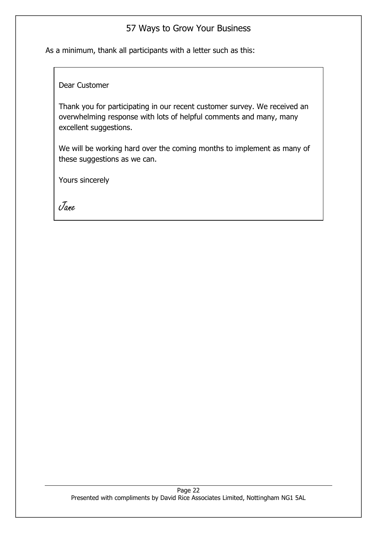As a minimum, thank all participants with a letter such as this:

Dear Customer

Thank you for participating in our recent customer survey. We received an overwhelming response with lots of helpful comments and many, many excellent suggestions.

We will be working hard over the coming months to implement as many of these suggestions as we can.

Yours sincerely

<span id="page-24-0"></span>Jane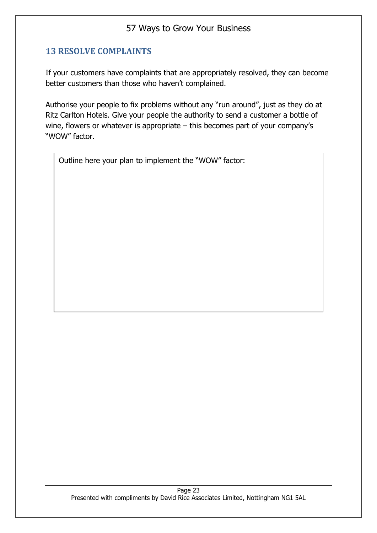#### **13 RESOLVE COMPLAINTS**

If your customers have complaints that are appropriately resolved, they can become better customers than those who haven't complained.

Authorise your people to fix problems without any "run around", just as they do at Ritz Carlton Hotels. Give your people the authority to send a customer a bottle of wine, flowers or whatever is appropriate – this becomes part of your company's "WOW" factor.

Outline here your plan to implement the "WOW" factor: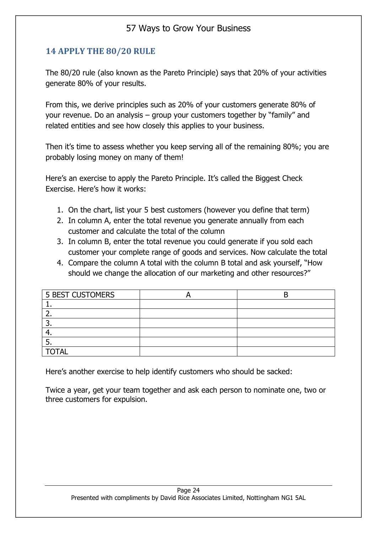#### <span id="page-26-0"></span>**14 APPLY THE 80/20 RULE**

The 80/20 rule (also known as the Pareto Principle) says that 20% of your activities generate 80% of your results.

From this, we derive principles such as 20% of your customers generate 80% of your revenue. Do an analysis – group your customers together by "family" and related entities and see how closely this applies to your business.

Then it's time to assess whether you keep serving all of the remaining 80%; you are probably losing money on many of them!

Here's an exercise to apply the Pareto Principle. It's called the Biggest Check Exercise. Here's how it works:

- 1. On the chart, list your 5 best customers (however you define that term)
- 2. In column A, enter the total revenue you generate annually from each customer and calculate the total of the column
- 3. In column B, enter the total revenue you could generate if you sold each customer your complete range of goods and services. Now calculate the total
- 4. Compare the column A total with the column B total and ask yourself, "How should we change the allocation of our marketing and other resources?"

| <b>5 BEST CUSTOMERS</b> |  |
|-------------------------|--|
|                         |  |
|                         |  |
|                         |  |
|                         |  |
|                         |  |
| <b>TOTAL</b>            |  |

Here's another exercise to help identify customers who should be sacked:

Twice a year, get your team together and ask each person to nominate one, two or three customers for expulsion.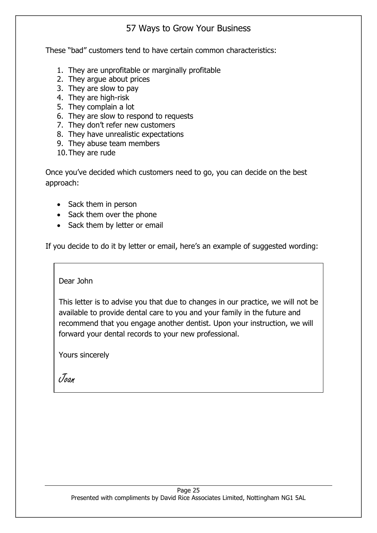These "bad" customers tend to have certain common characteristics:

- 1. They are unprofitable or marginally profitable
- 2. They argue about prices
- 3. They are slow to pay
- 4. They are high-risk
- 5. They complain a lot
- 6. They are slow to respond to requests
- 7. They don't refer new customers
- 8. They have unrealistic expectations
- 9. They abuse team members
- 10.They are rude

Once you've decided which customers need to go, you can decide on the best approach:

- Sack them in person
- Sack them over the phone
- Sack them by letter or email

If you decide to do it by letter or email, here's an example of suggested wording:

Dear John

This letter is to advise you that due to changes in our practice, we will not be available to provide dental care to you and your family in the future and recommend that you engage another dentist. Upon your instruction, we will forward your dental records to your new professional.

Yours sincerely

Joan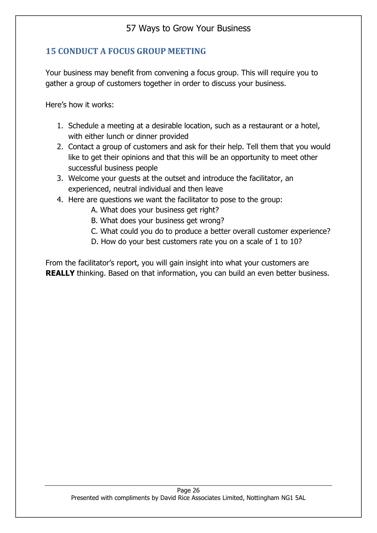#### <span id="page-28-0"></span>**15 CONDUCT A FOCUS GROUP MEETING**

Your business may benefit from convening a focus group. This will require you to gather a group of customers together in order to discuss your business.

Here's how it works:

- 1. Schedule a meeting at a desirable location, such as a restaurant or a hotel, with either lunch or dinner provided
- 2. Contact a group of customers and ask for their help. Tell them that you would like to get their opinions and that this will be an opportunity to meet other successful business people
- 3. Welcome your guests at the outset and introduce the facilitator, an experienced, neutral individual and then leave
- 4. Here are questions we want the facilitator to pose to the group:
	- A. What does your business get right?
	- B. What does your business get wrong?
	- C. What could you do to produce a better overall customer experience?
	- D. How do your best customers rate you on a scale of 1 to 10?

From the facilitator's report, you will gain insight into what your customers are **REALLY** thinking. Based on that information, you can build an even better business.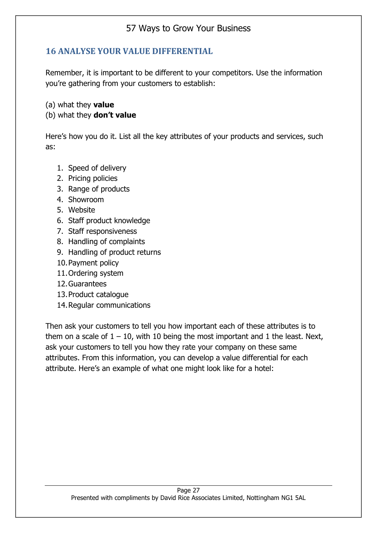#### <span id="page-29-0"></span>**16 ANALYSE YOUR VALUE DIFFERENTIAL**

Remember, it is important to be different to your competitors. Use the information you're gathering from your customers to establish:

(a) what they **value**

#### (b) what they **don't value**

Here's how you do it. List all the key attributes of your products and services, such as:

- 1. Speed of delivery
- 2. Pricing policies
- 3. Range of products
- 4. Showroom
- 5. Website
- 6. Staff product knowledge
- 7. Staff responsiveness
- 8. Handling of complaints
- 9. Handling of product returns
- 10.Payment policy
- 11.Ordering system
- 12.Guarantees
- 13.Product catalogue
- 14.Regular communications

Then ask your customers to tell you how important each of these attributes is to them on a scale of  $1 - 10$ , with 10 being the most important and 1 the least. Next, ask your customers to tell you how they rate your company on these same attributes. From this information, you can develop a value differential for each attribute. Here's an example of what one might look like for a hotel: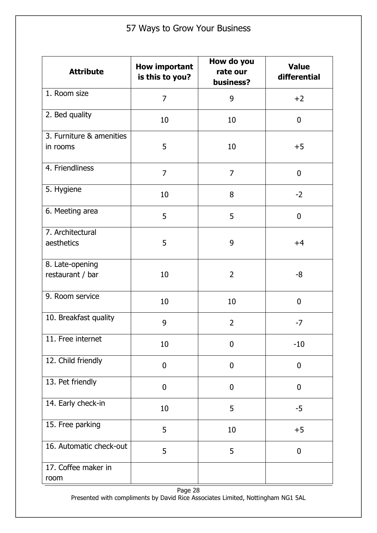| <b>Attribute</b>                     | <b>How important</b><br>is this to you? | How do you<br>rate our<br>business? | <b>Value</b><br>differential |
|--------------------------------------|-----------------------------------------|-------------------------------------|------------------------------|
| 1. Room size                         | $\overline{7}$                          | 9                                   | $+2$                         |
| 2. Bed quality                       | 10                                      | 10                                  | $\mathbf 0$                  |
| 3. Furniture & amenities<br>in rooms | 5                                       | 10                                  | $+5$                         |
| 4. Friendliness                      | $\overline{7}$                          | $\overline{7}$                      | $\mathbf 0$                  |
| 5. Hygiene                           | 10                                      | 8                                   | $-2$                         |
| 6. Meeting area                      | 5                                       | 5                                   | $\mathbf 0$                  |
| 7. Architectural<br>aesthetics       | 5                                       | 9                                   | $+4$                         |
| 8. Late-opening<br>restaurant / bar  | 10                                      | $\overline{2}$                      | $-8$                         |
| 9. Room service                      | 10                                      | 10                                  | $\mathbf{0}$                 |
| 10. Breakfast quality                | 9                                       | $\overline{2}$                      | $-7$                         |
| 11. Free internet                    | 10                                      | 0                                   | $-10$                        |
| 12. Child friendly                   | $\mathbf 0$                             | $\mathbf 0$                         | $\mathbf 0$                  |
| 13. Pet friendly                     | $\mathbf 0$                             | $\mathbf 0$                         | $\mathbf 0$                  |
| 14. Early check-in                   | 10                                      | 5                                   | $-5$                         |
| 15. Free parking                     | 5                                       | 10                                  | $+5$                         |
| 16. Automatic check-out              | 5                                       | 5                                   | $\mathbf 0$                  |
| 17. Coffee maker in<br>room          |                                         |                                     |                              |

Page 28 Presented with compliments by David Rice Associates Limited, Nottingham NG1 5AL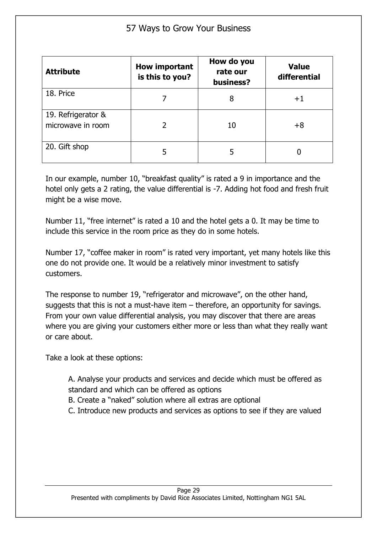| <b>Attribute</b>                        | <b>How important</b><br>is this to you? | How do you<br>rate our<br>business? | <b>Value</b><br>differential |
|-----------------------------------------|-----------------------------------------|-------------------------------------|------------------------------|
| 18. Price                               |                                         | 8                                   | $+1$                         |
| 19. Refrigerator &<br>microwave in room |                                         | 10                                  | $+8$                         |
| 20. Gift shop                           |                                         | 5                                   |                              |

In our example, number 10, "breakfast quality" is rated a 9 in importance and the hotel only gets a 2 rating, the value differential is -7. Adding hot food and fresh fruit might be a wise move.

Number 11, "free internet" is rated a 10 and the hotel gets a 0. It may be time to include this service in the room price as they do in some hotels.

Number 17, "coffee maker in room" is rated very important, yet many hotels like this one do not provide one. It would be a relatively minor investment to satisfy customers.

The response to number 19, "refrigerator and microwave", on the other hand, suggests that this is not a must-have item – therefore, an opportunity for savings. From your own value differential analysis, you may discover that there are areas where you are giving your customers either more or less than what they really want or care about.

Take a look at these options:

A. Analyse your products and services and decide which must be offered as standard and which can be offered as options

- B. Create a "naked" solution where all extras are optional
- C. Introduce new products and services as options to see if they are valued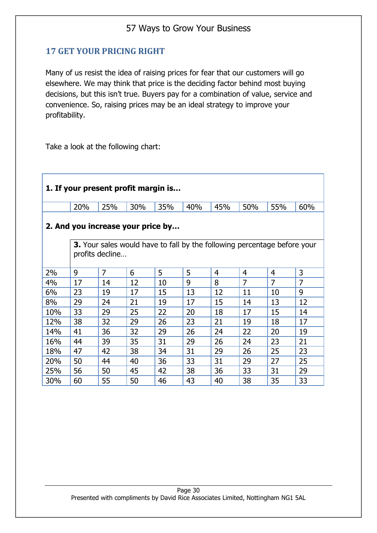### <span id="page-32-0"></span>**17 GET YOUR PRICING RIGHT**

Many of us resist the idea of raising prices for fear that our customers will go elsewhere. We may think that price is the deciding factor behind most buying decisions, but this isn't true. Buyers pay for a combination of value, service and convenience. So, raising prices may be an ideal strategy to improve your profitability.

Take a look at the following chart:

| 1. If your present profit margin is                                                                |     |                |     |     |     |     |                |                |                |  |  |
|----------------------------------------------------------------------------------------------------|-----|----------------|-----|-----|-----|-----|----------------|----------------|----------------|--|--|
|                                                                                                    | 20% | 25%            | 30% | 35% | 40% | 45% | 50%            | 55%            | 60%            |  |  |
| 2. And you increase your price by                                                                  |     |                |     |     |     |     |                |                |                |  |  |
| <b>3.</b> Your sales would have to fall by the following percentage before your<br>profits decline |     |                |     |     |     |     |                |                |                |  |  |
| 2%                                                                                                 | 9   | $\overline{7}$ | 6   | 5   | 5   | 4   | $\overline{4}$ | 4              | 3              |  |  |
| 4%                                                                                                 | 17  | 14             | 12  | 10  | 9   | 8   | $\overline{7}$ | $\overline{7}$ | $\overline{7}$ |  |  |
| 6%                                                                                                 | 23  | 19             | 17  | 15  | 13  | 12  | 11             | 10             | 9              |  |  |
| 8%                                                                                                 | 29  | 24             | 21  | 19  | 17  | 15  | 14             | 13             | 12             |  |  |
| 10%                                                                                                | 33  | 29             | 25  | 22  | 20  | 18  | 17             | 15             | 14             |  |  |
| 12%                                                                                                | 38  | 32             | 29  | 26  | 23  | 21  | 19             | 18             | 17             |  |  |
| 14%                                                                                                | 41  | 36             | 32  | 29  | 26  | 24  | 22             | 20             | 19             |  |  |
| 16%                                                                                                | 44  | 39             | 35  | 31  | 29  | 26  | 24             | 23             | 21             |  |  |
| 18%                                                                                                | 47  | 42             | 38  | 34  | 31  | 29  | 26             | 25             | 23             |  |  |
| 20%                                                                                                | 50  | 44             | 40  | 36  | 33  | 31  | 29             | 27             | 25             |  |  |
| 25%                                                                                                | 56  | 50             | 45  | 42  | 38  | 36  | 33             | 31             | 29             |  |  |
| 30%                                                                                                | 60  | 55             | 50  | 46  | 43  | 40  | 38             | 35             | 33             |  |  |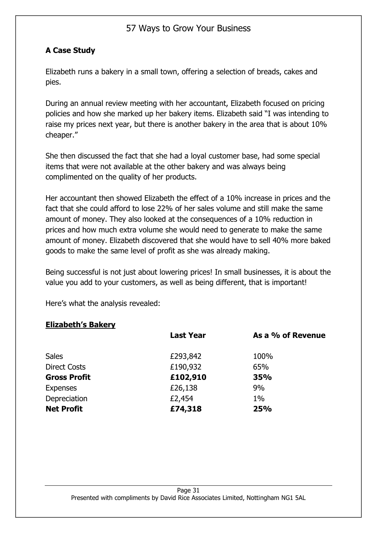#### **A Case Study**

Elizabeth runs a bakery in a small town, offering a selection of breads, cakes and pies.

During an annual review meeting with her accountant, Elizabeth focused on pricing policies and how she marked up her bakery items. Elizabeth said "I was intending to raise my prices next year, but there is another bakery in the area that is about 10% cheaper."

She then discussed the fact that she had a loyal customer base, had some special items that were not available at the other bakery and was always being complimented on the quality of her products.

Her accountant then showed Elizabeth the effect of a 10% increase in prices and the fact that she could afford to lose 22% of her sales volume and still make the same amount of money. They also looked at the consequences of a 10% reduction in prices and how much extra volume she would need to generate to make the same amount of money. Elizabeth discovered that she would have to sell 40% more baked goods to make the same level of profit as she was already making.

Being successful is not just about lowering prices! In small businesses, it is about the value you add to your customers, as well as being different, that is important!

Here's what the analysis revealed:

#### **Elizabeth's Bakery**

|                     | <b>Last Year</b> | As a % of Revenue |
|---------------------|------------------|-------------------|
| <b>Sales</b>        | £293,842         | 100%              |
| <b>Direct Costs</b> | £190,932         | 65%               |
| <b>Gross Profit</b> | £102,910         | <b>35%</b>        |
| <b>Expenses</b>     | £26,138          | 9%                |
| Depreciation        | £2,454           | $1\%$             |
| <b>Net Profit</b>   | £74,318          | 25%               |
|                     |                  |                   |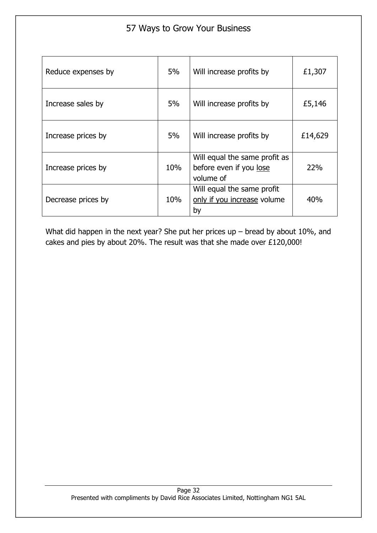| Reduce expenses by | 5%  | Will increase profits by                                              | £1,307  |
|--------------------|-----|-----------------------------------------------------------------------|---------|
| Increase sales by  | 5%  | Will increase profits by                                              | £5,146  |
| Increase prices by | 5%  | Will increase profits by                                              | £14,629 |
| Increase prices by | 10% | Will equal the same profit as<br>before even if you lose<br>volume of | 22%     |
| Decrease prices by | 10% | Will equal the same profit<br>only if you increase volume<br>by       | 40%     |

What did happen in the next year? She put her prices up – bread by about 10%, and cakes and pies by about 20%. The result was that she made over £120,000!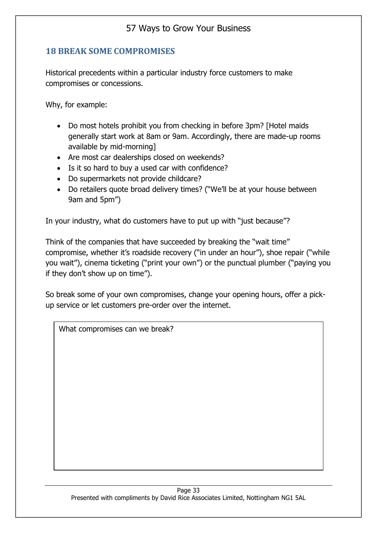#### <span id="page-35-0"></span>**18 BREAK SOME COMPROMISES**

Historical precedents within a particular industry force customers to make compromises or concessions.

Why, for example:

- Do most hotels prohibit you from checking in before 3pm? [Hotel maids generally start work at 8am or 9am. Accordingly, there are made-up rooms available by mid-morning]
- Are most car dealerships closed on weekends?
- Is it so hard to buy a used car with confidence?
- Do supermarkets not provide childcare?
- Do retailers quote broad delivery times? ("We'll be at your house between 9am and 5pm")

In your industry, what do customers have to put up with "just because"?

Think of the companies that have succeeded by breaking the "wait time" compromise, whether it's roadside recovery ("in under an hour"), shoe repair ("while you wait"), cinema ticketing ("print your own") or the punctual plumber ("paying you if they don't show up on time").

So break some of your own compromises, change your opening hours, offer a pickup service or let customers pre-order over the internet.

What compromises can we break?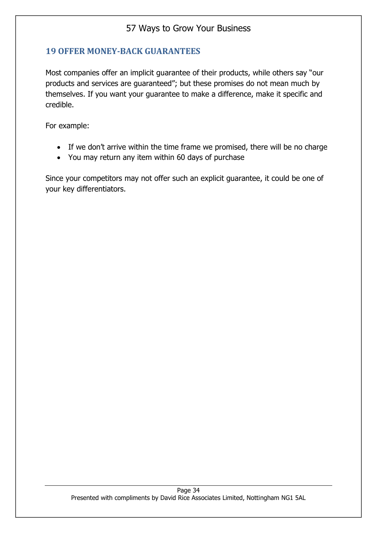### **19 OFFER MONEY-BACK GUARANTEES**

Most companies offer an implicit guarantee of their products, while others say "our products and services are guaranteed"; but these promises do not mean much by themselves. If you want your guarantee to make a difference, make it specific and credible.

For example:

- If we don't arrive within the time frame we promised, there will be no charge
- You may return any item within 60 days of purchase

Since your competitors may not offer such an explicit guarantee, it could be one of your key differentiators.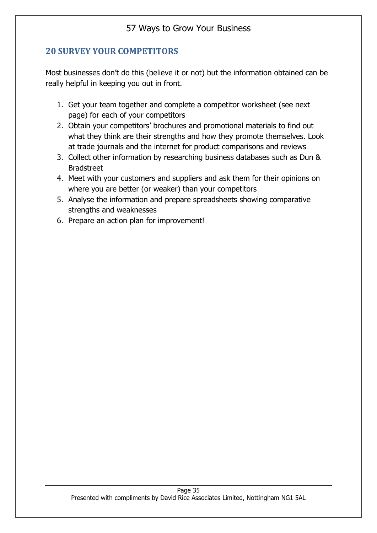## **20 SURVEY YOUR COMPETITORS**

Most businesses don't do this (believe it or not) but the information obtained can be really helpful in keeping you out in front.

- 1. Get your team together and complete a competitor worksheet (see next page) for each of your competitors
- 2. Obtain your competitors' brochures and promotional materials to find out what they think are their strengths and how they promote themselves. Look at trade journals and the internet for product comparisons and reviews
- 3. Collect other information by researching business databases such as Dun & Bradstreet
- 4. Meet with your customers and suppliers and ask them for their opinions on where you are better (or weaker) than your competitors
- 5. Analyse the information and prepare spreadsheets showing comparative strengths and weaknesses
- 6. Prepare an action plan for improvement!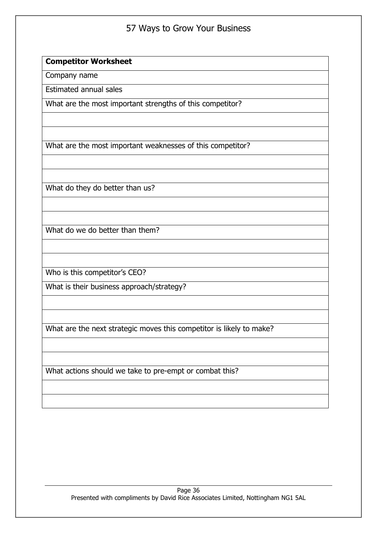#### **Competitor Worksheet**

Company name

Estimated annual sales

What are the most important strengths of this competitor?

What are the most important weaknesses of this competitor?

What do they do better than us?

What do we do better than them?

Who is this competitor's CEO?

What is their business approach/strategy?

What are the next strategic moves this competitor is likely to make?

What actions should we take to pre-empt or combat this?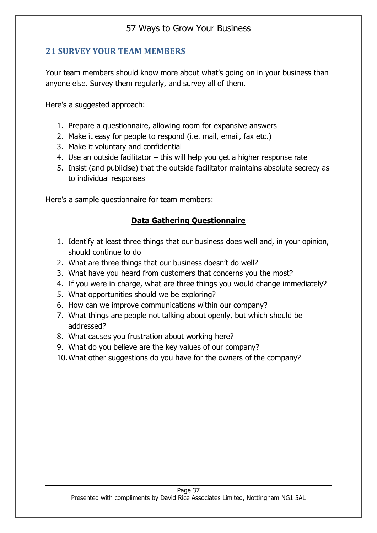## **21 SURVEY YOUR TEAM MEMBERS**

Your team members should know more about what's going on in your business than anyone else. Survey them regularly, and survey all of them.

Here's a suggested approach:

- 1. Prepare a questionnaire, allowing room for expansive answers
- 2. Make it easy for people to respond (i.e. mail, email, fax etc.)
- 3. Make it voluntary and confidential
- 4. Use an outside facilitator this will help you get a higher response rate
- 5. Insist (and publicise) that the outside facilitator maintains absolute secrecy as to individual responses

Here's a sample questionnaire for team members:

#### **Data Gathering Questionnaire**

- 1. Identify at least three things that our business does well and, in your opinion, should continue to do
- 2. What are three things that our business doesn't do well?
- 3. What have you heard from customers that concerns you the most?
- 4. If you were in charge, what are three things you would change immediately?
- 5. What opportunities should we be exploring?
- 6. How can we improve communications within our company?
- 7. What things are people not talking about openly, but which should be addressed?
- 8. What causes you frustration about working here?
- 9. What do you believe are the key values of our company?
- 10.What other suggestions do you have for the owners of the company?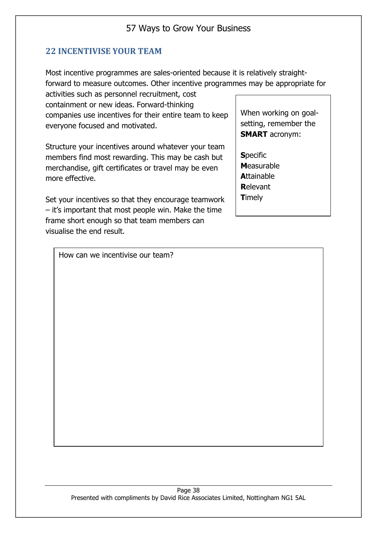### **22 INCENTIVISE YOUR TEAM**

Most incentive programmes are sales-oriented because it is relatively straightforward to measure outcomes. Other incentive programmes may be appropriate for

activities such as personnel recruitment, cost containment or new ideas. Forward-thinking companies use incentives for their entire team to keep everyone focused and motivated.

Structure your incentives around whatever your team members find most rewarding. This may be cash but merchandise, gift certificates or travel may be even more effective.

Set your incentives so that they encourage teamwork – it's important that most people win. Make the time frame short enough so that team members can visualise the end result.

When working on goalsetting, remember the **SMART** acronym:

**S**pecific **M**easurable **A**ttainable **R**elevant **T**imely

How can we incentivise our team?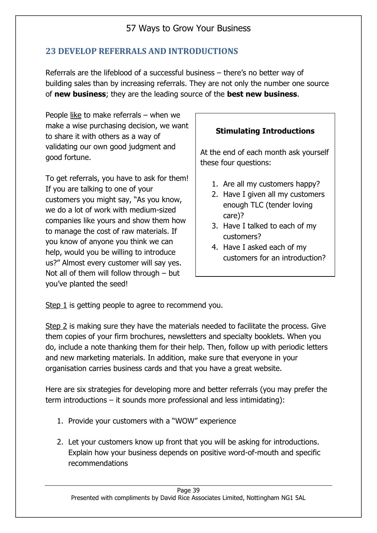## **23 DEVELOP REFERRALS AND INTRODUCTIONS**

Referrals are the lifeblood of a successful business – there's no better way of building sales than by increasing referrals. They are not only the number one source of **new business**; they are the leading source of the **best new business**.

People like to make referrals – when we make a wise purchasing decision, we want to share it with others as a way of validating our own good judgment and good fortune.

To get referrals, you have to ask for them! If you are talking to one of your customers you might say, "As you know, we do a lot of work with medium-sized companies like yours and show them how to manage the cost of raw materials. If you know of anyone you think we can help, would you be willing to introduce us?" Almost every customer will say yes. Not all of them will follow through – but you've planted the seed!

### **Stimulating Introductions**

At the end of each month ask yourself these four questions:

- 1. Are all my customers happy?
- 2. Have I given all my customers enough TLC (tender loving care)?
- 3. Have I talked to each of my customers?
- 4. Have I asked each of my customers for an introduction?

Step 1 is getting people to agree to recommend you.

Step 2 is making sure they have the materials needed to facilitate the process. Give them copies of your firm brochures, newsletters and specialty booklets. When you do, include a note thanking them for their help. Then, follow up with periodic letters and new marketing materials. In addition, make sure that everyone in your organisation carries business cards and that you have a great website.

Here are six strategies for developing more and better referrals (you may prefer the term introductions – it sounds more professional and less intimidating):

- 1. Provide your customers with a "WOW" experience
- 2. Let your customers know up front that you will be asking for introductions. Explain how your business depends on positive word-of-mouth and specific recommendations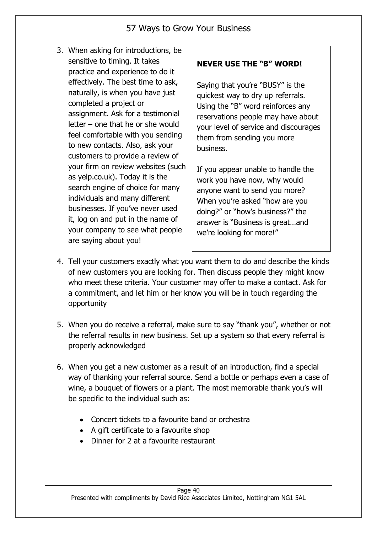3. When asking for introductions, be sensitive to timing. It takes practice and experience to do it effectively. The best time to ask, naturally, is when you have just completed a project or assignment. Ask for a testimonial letter – one that he or she would feel comfortable with you sending to new contacts. Also, ask your customers to provide a review of your firm on review websites (such as yelp.co.uk). Today it is the search engine of choice for many individuals and many different businesses. If you've never used it, log on and put in the name of your company to see what people are saying about you!

### **NEVER USE THE "B" WORD!**

Saying that you're "BUSY" is the quickest way to dry up referrals. Using the "B" word reinforces any reservations people may have about your level of service and discourages them from sending you more business.

If you appear unable to handle the work you have now, why would anyone want to send you more? When you're asked "how are you doing?" or "how's business?" the answer is "Business is great…and we're looking for more!"

- 4. Tell your customers exactly what you want them to do and describe the kinds of new customers you are looking for. Then discuss people they might know who meet these criteria. Your customer may offer to make a contact. Ask for a commitment, and let him or her know you will be in touch regarding the opportunity
- 5. When you do receive a referral, make sure to say "thank you", whether or not the referral results in new business. Set up a system so that every referral is properly acknowledged
- 6. When you get a new customer as a result of an introduction, find a special way of thanking your referral source. Send a bottle or perhaps even a case of wine, a bouquet of flowers or a plant. The most memorable thank you's will be specific to the individual such as:
	- Concert tickets to a favourite band or orchestra
	- A gift certificate to a favourite shop
	- Dinner for 2 at a favourite restaurant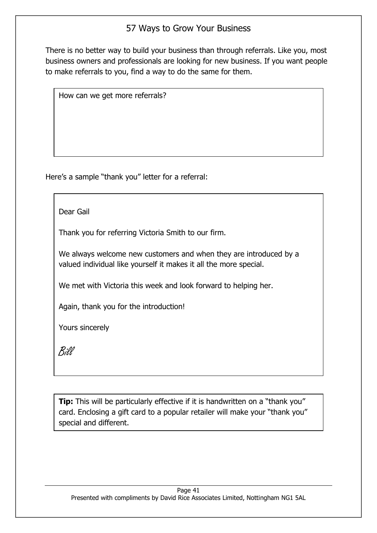There is no better way to build your business than through referrals. Like you, most business owners and professionals are looking for new business. If you want people to make referrals to you, find a way to do the same for them.

How can we get more referrals?

Here's a sample "thank you" letter for a referral:

Dear Gail

Thank you for referring Victoria Smith to our firm.

We always welcome new customers and when they are introduced by a valued individual like yourself it makes it all the more special.

We met with Victoria this week and look forward to helping her.

Again, thank you for the introduction!

Yours sincerely

Bill

**Tip:** This will be particularly effective if it is handwritten on a "thank you" card. Enclosing a gift card to a popular retailer will make your "thank you" special and different.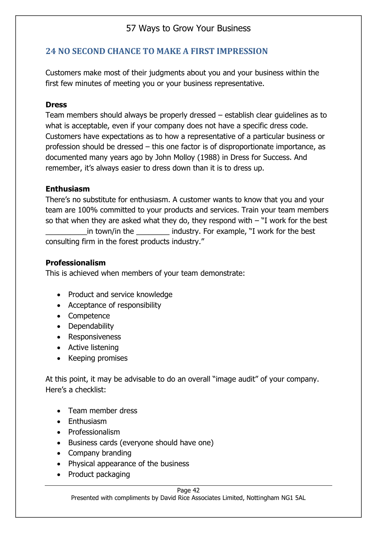## **24 NO SECOND CHANCE TO MAKE A FIRST IMPRESSION**

Customers make most of their judgments about you and your business within the first few minutes of meeting you or your business representative.

#### **Dress**

Team members should always be properly dressed – establish clear guidelines as to what is acceptable, even if your company does not have a specific dress code. Customers have expectations as to how a representative of a particular business or profession should be dressed – this one factor is of disproportionate importance, as documented many years ago by John Molloy (1988) in Dress for Success. And remember, it's always easier to dress down than it is to dress up.

#### **Enthusiasm**

There's no substitute for enthusiasm. A customer wants to know that you and your team are 100% committed to your products and services. Train your team members so that when they are asked what they do, they respond with  $-$  "I work for the best \_\_\_\_\_\_\_\_\_\_in town/in the \_\_\_\_\_\_\_\_ industry. For example, "I work for the best consulting firm in the forest products industry."

#### **Professionalism**

This is achieved when members of your team demonstrate:

- Product and service knowledge
- Acceptance of responsibility
- Competence
- Dependability
- Responsiveness
- Active listening
- Keeping promises

At this point, it may be advisable to do an overall "image audit" of your company. Here's a checklist:

- Team member dress
- Enthusiasm
- Professionalism
- Business cards (everyone should have one)
- Company branding
- Physical appearance of the business
- Product packaging

#### Page 42

Presented with compliments by David Rice Associates Limited, Nottingham NG1 5AL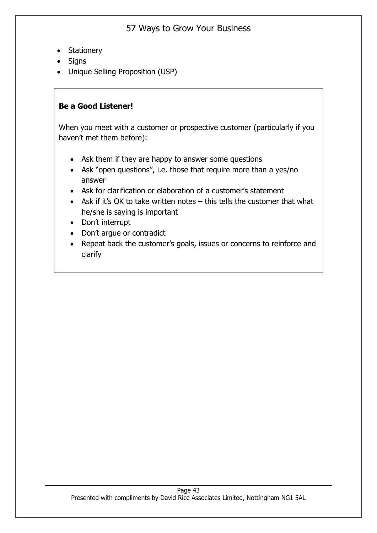- Stationery
- Signs
- Unique Selling Proposition (USP)

#### **Be a Good Listener!**

When you meet with a customer or prospective customer (particularly if you haven't met them before):

- Ask them if they are happy to answer some questions
- Ask "open questions", i.e. those that require more than a yes/no answer
- Ask for clarification or elaboration of a customer's statement
- Ask if it's OK to take written notes this tells the customer that what he/she is saying is important
- Don't interrupt
- Don't argue or contradict
- Repeat back the customer's goals, issues or concerns to reinforce and clarify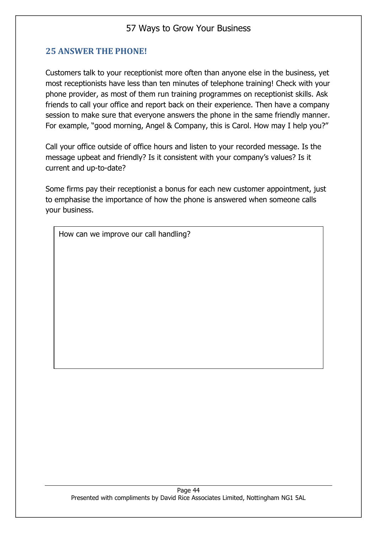#### **25 ANSWER THE PHONE!**

Customers talk to your receptionist more often than anyone else in the business, yet most receptionists have less than ten minutes of telephone training! Check with your phone provider, as most of them run training programmes on receptionist skills. Ask friends to call your office and report back on their experience. Then have a company session to make sure that everyone answers the phone in the same friendly manner. For example, "good morning, Angel & Company, this is Carol. How may I help you?"

Call your office outside of office hours and listen to your recorded message. Is the message upbeat and friendly? Is it consistent with your company's values? Is it current and up-to-date?

Some firms pay their receptionist a bonus for each new customer appointment, just to emphasise the importance of how the phone is answered when someone calls your business.

How can we improve our call handling?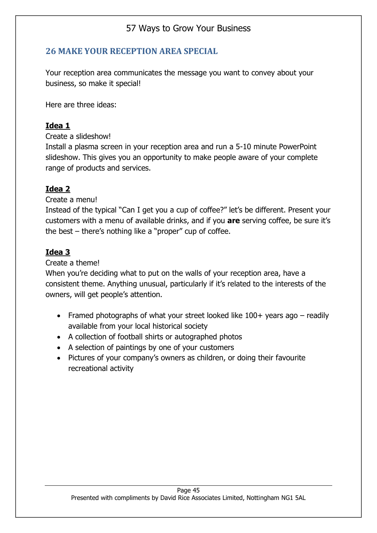### **26 MAKE YOUR RECEPTION AREA SPECIAL**

Your reception area communicates the message you want to convey about your business, so make it special!

Here are three ideas:

### **Idea 1**

Create a slideshow!

Install a plasma screen in your reception area and run a 5-10 minute PowerPoint slideshow. This gives you an opportunity to make people aware of your complete range of products and services.

### **Idea 2**

Create a menu!

Instead of the typical "Can I get you a cup of coffee?" let's be different. Present your customers with a menu of available drinks, and if you **are** serving coffee, be sure it's the best – there's nothing like a "proper" cup of coffee.

### **Idea 3**

Create a theme!

When you're deciding what to put on the walls of your reception area, have a consistent theme. Anything unusual, particularly if it's related to the interests of the owners, will get people's attention.

- Framed photographs of what your street looked like  $100+$  years ago readily available from your local historical society
- A collection of football shirts or autographed photos
- A selection of paintings by one of your customers
- Pictures of your company's owners as children, or doing their favourite recreational activity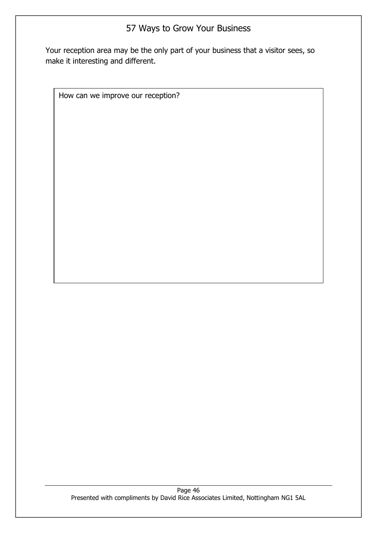Your reception area may be the only part of your business that a visitor sees, so make it interesting and different.

How can we improve our reception?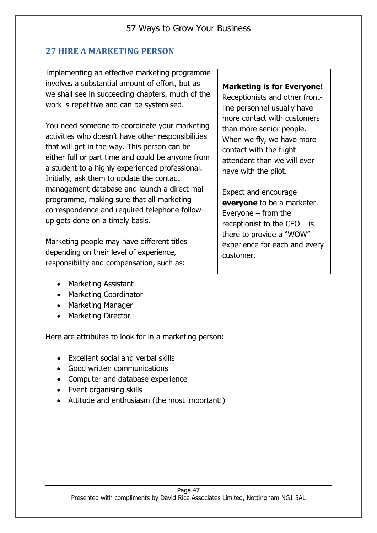### **27 HIRE A MARKETING PERSON**

Implementing an effective marketing programme involves a substantial amount of effort, but as we shall see in succeeding chapters, much of the work is repetitive and can be systemised.

You need someone to coordinate your marketing activities who doesn't have other responsibilities that will get in the way. This person can be either full or part time and could be anyone from a student to a highly experienced professional. Initially, ask them to update the contact management database and launch a direct mail programme, making sure that all marketing correspondence and required telephone followup gets done on a timely basis.

Marketing people may have different titles depending on their level of experience, responsibility and compensation, such as:

- Marketing Assistant
- Marketing Coordinator
- Marketing Manager
- Marketing Director

Here are attributes to look for in a marketing person:

- Excellent social and verbal skills
- Good written communications
- Computer and database experience
- Event organising skills
- Attitude and enthusiasm (the most important!)

#### **Marketing is for Everyone!**

Receptionists and other frontline personnel usually have more contact with customers than more senior people. When we fly, we have more contact with the flight attendant than we will ever have with the pilot.

Expect and encourage **everyone** to be a marketer. Everyone – from the receptionist to the  $CEO - is$ there to provide a "WOW" experience for each and every customer.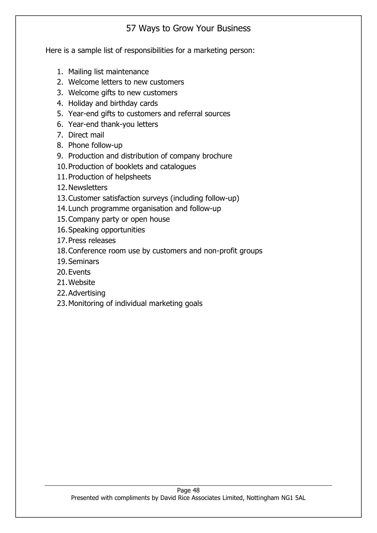Here is a sample list of responsibilities for a marketing person:

- 1. Mailing list maintenance
- 2. Welcome letters to new customers
- 3. Welcome gifts to new customers
- 4. Holiday and birthday cards
- 5. Year-end gifts to customers and referral sources
- 6. Year-end thank-you letters
- 7. Direct mail
- 8. Phone follow-up
- 9. Production and distribution of company brochure
- 10.Production of booklets and catalogues
- 11.Production of helpsheets
- 12.Newsletters
- 13.Customer satisfaction surveys (including follow-up)
- 14.Lunch programme organisation and follow-up
- 15.Company party or open house
- 16.Speaking opportunities
- 17.Press releases
- 18.Conference room use by customers and non-profit groups
- 19.Seminars
- 20.Events
- 21.Website
- 22.Advertising
- 23.Monitoring of individual marketing goals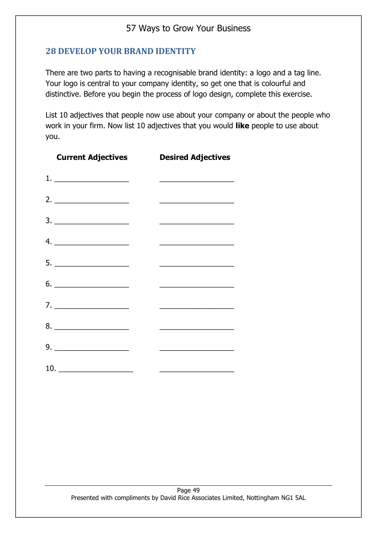#### **28 DEVELOP YOUR BRAND IDENTITY**

There are two parts to having a recognisable brand identity: a logo and a tag line. Your logo is central to your company identity, so get one that is colourful and distinctive. Before you begin the process of logo design, complete this exercise.

List 10 adjectives that people now use about your company or about the people who work in your firm. Now list 10 adjectives that you would **like** people to use about you.

| <b>Current Adjectives</b>                                                                                                        | <b>Desired Adjectives</b>                                                                                             |
|----------------------------------------------------------------------------------------------------------------------------------|-----------------------------------------------------------------------------------------------------------------------|
|                                                                                                                                  | <u> La Carlo de la Carlo de la Carlo de la Carlo de la Carlo de la Carlo de la Carlo de la Carlo de la Carlo de l</u> |
|                                                                                                                                  |                                                                                                                       |
| $\begin{array}{c}\n3. \ \ \ \phantom{3} \ \ \end{array}$                                                                         | <u> La Carlo de la Carlo de la Carlo de la Carlo de la Carlo de la Carlo de la Carlo de la Carlo de la Carlo de l</u> |
|                                                                                                                                  | <u> 1989 - Johann Barbara, martxa alemani</u> ar a                                                                    |
| $5. \underline{\hspace{2cm}}$                                                                                                    |                                                                                                                       |
| $\begin{tabular}{c} 6. & \begin{tabular}{@{}c@{}} \quad \quad & \quad \quad & \quad \quad \\ \hline \end{tabular} \end{tabular}$ | <u> 1980 - Jan Barnett, fransk politik (f. 1980)</u>                                                                  |
| 7.                                                                                                                               | <u> 1990 - Johann Barn, mars ann an t-Amhair ann an t-</u>                                                            |
|                                                                                                                                  |                                                                                                                       |
|                                                                                                                                  | <u> 1989 - Johann Barbara, martin a</u>                                                                               |
|                                                                                                                                  |                                                                                                                       |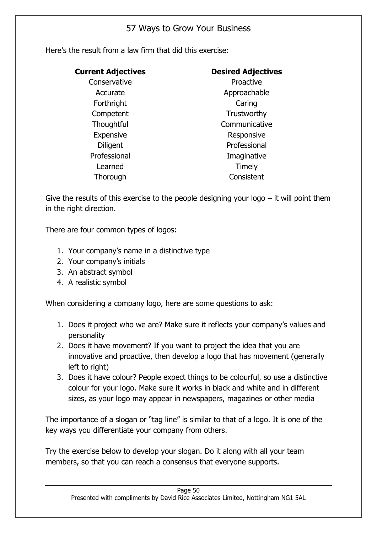Here's the result from a law firm that did this exercise:

| <b>Current Adjectives</b> | <b>Desired Adjectives</b> |
|---------------------------|---------------------------|
| Conservative              | Proactive                 |
| Accurate                  | Approachable              |
| Forthright                | Caring                    |
| Competent                 | Trustworthy               |
| Thoughtful                | Communicative             |
| <b>Expensive</b>          | Responsive                |
| <b>Diligent</b>           | Professional              |
| Professional              | Imaginative               |
| Learned                   | Timely                    |
| Thorough                  | Consistent                |

Give the results of this exercise to the people designing your logo  $-$  it will point them in the right direction.

There are four common types of logos:

- 1. Your company's name in a distinctive type
- 2. Your company's initials
- 3. An abstract symbol
- 4. A realistic symbol

When considering a company logo, here are some questions to ask:

- 1. Does it project who we are? Make sure it reflects your company's values and personality
- 2. Does it have movement? If you want to project the idea that you are innovative and proactive, then develop a logo that has movement (generally left to right)
- 3. Does it have colour? People expect things to be colourful, so use a distinctive colour for your logo. Make sure it works in black and white and in different sizes, as your logo may appear in newspapers, magazines or other media

The importance of a slogan or "tag line" is similar to that of a logo. It is one of the key ways you differentiate your company from others.

Try the exercise below to develop your slogan. Do it along with all your team members, so that you can reach a consensus that everyone supports.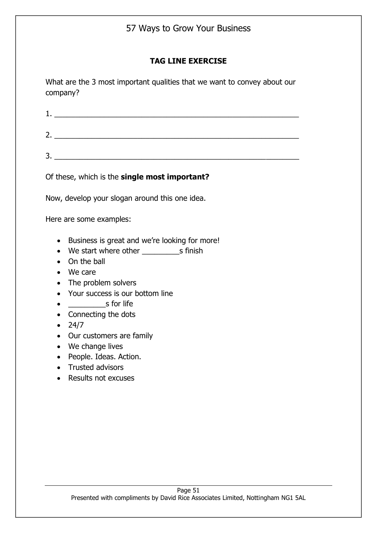#### **TAG LINE EXERCISE**

What are the 3 most important qualities that we want to convey about our company?

| Of these, which is the <b>single most important?</b>                                                                                                                                                                                                                 |
|----------------------------------------------------------------------------------------------------------------------------------------------------------------------------------------------------------------------------------------------------------------------|
| Now, develop your slogan around this one idea.                                                                                                                                                                                                                       |
| Here are some examples:                                                                                                                                                                                                                                              |
| Business is great and we're looking for more!<br>$\bullet$<br>On the ball<br>We care<br>The problem solvers<br>Your success is our bottom line<br>$\bullet$<br>s for life<br>$\bullet$<br>Connecting the dots<br>24/7<br>Our customers are family<br>We change lives |

- People. Ideas. Action.
- Trusted advisors
- Results not excuses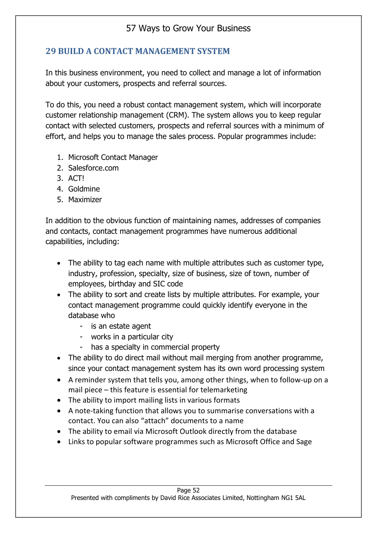## **29 BUILD A CONTACT MANAGEMENT SYSTEM**

In this business environment, you need to collect and manage a lot of information about your customers, prospects and referral sources.

To do this, you need a robust contact management system, which will incorporate customer relationship management (CRM). The system allows you to keep regular contact with selected customers, prospects and referral sources with a minimum of effort, and helps you to manage the sales process. Popular programmes include:

- 1. Microsoft Contact Manager
- 2. Salesforce.com
- 3. ACT!
- 4. Goldmine
- 5. Maximizer

In addition to the obvious function of maintaining names, addresses of companies and contacts, contact management programmes have numerous additional capabilities, including:

- The ability to tag each name with multiple attributes such as customer type, industry, profession, specialty, size of business, size of town, number of employees, birthday and SIC code
- The ability to sort and create lists by multiple attributes. For example, your contact management programme could quickly identify everyone in the database who
	- is an estate agent
	- works in a particular city
	- has a specialty in commercial property
- The ability to do direct mail without mail merging from another programme, since your contact management system has its own word processing system
- A reminder system that tells you, among other things, when to follow-up on a mail piece – this feature is essential for telemarketing
- The ability to import mailing lists in various formats
- A note-taking function that allows you to summarise conversations with a contact. You can also "attach" documents to a name
- The ability to email via Microsoft Outlook directly from the database
- Links to popular software programmes such as Microsoft Office and Sage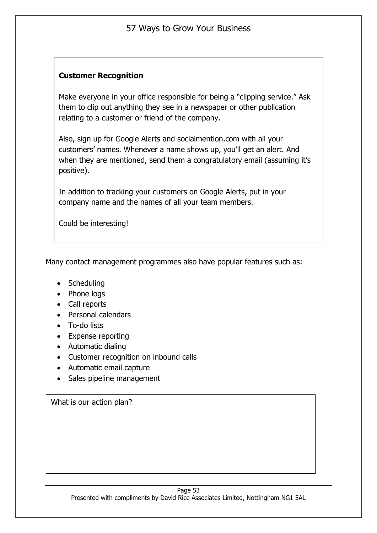#### **Customer Recognition**

Make everyone in your office responsible for being a "clipping service." Ask them to clip out anything they see in a newspaper or other publication relating to a customer or friend of the company.

Also, sign up for Google Alerts and socialmention.com with all your customers' names. Whenever a name shows up, you'll get an alert. And when they are mentioned, send them a congratulatory email (assuming it's positive).

In addition to tracking your customers on Google Alerts, put in your company name and the names of all your team members.

Could be interesting!

Many contact management programmes also have popular features such as:

- Scheduling
- Phone logs
- Call reports
- Personal calendars
- To-do lists
- Expense reporting
- Automatic dialing
- Customer recognition on inbound calls
- Automatic email capture
- Sales pipeline management

What is our action plan?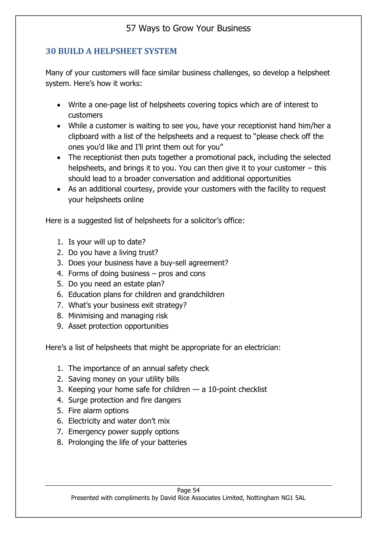### **30 BUILD A HELPSHEET SYSTEM**

Many of your customers will face similar business challenges, so develop a helpsheet system. Here's how it works:

- Write a one-page list of helpsheets covering topics which are of interest to customers
- While a customer is waiting to see you, have your receptionist hand him/her a clipboard with a list of the helpsheets and a request to "please check off the ones you'd like and I'll print them out for you"
- The receptionist then puts together a promotional pack, including the selected helpsheets, and brings it to you. You can then give it to your customer – this should lead to a broader conversation and additional opportunities
- As an additional courtesy, provide your customers with the facility to request your helpsheets online

Here is a suggested list of helpsheets for a solicitor's office:

- 1. Is your will up to date?
- 2. Do you have a living trust?
- 3. Does your business have a buy-sell agreement?
- 4. Forms of doing business pros and cons
- 5. Do you need an estate plan?
- 6. Education plans for children and grandchildren
- 7. What's your business exit strategy?
- 8. Minimising and managing risk
- 9. Asset protection opportunities

Here's a list of helpsheets that might be appropriate for an electrician:

- 1. The importance of an annual safety check
- 2. Saving money on your utility bills
- 3. Keeping your home safe for children a 10-point checklist
- 4. Surge protection and fire dangers
- 5. Fire alarm options
- 6. Electricity and water don't mix
- 7. Emergency power supply options
- 8. Prolonging the life of your batteries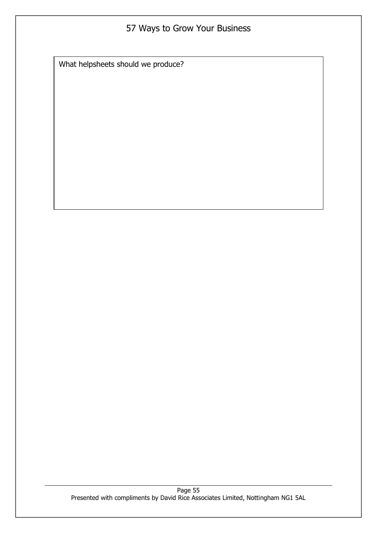What helpsheets should we produce?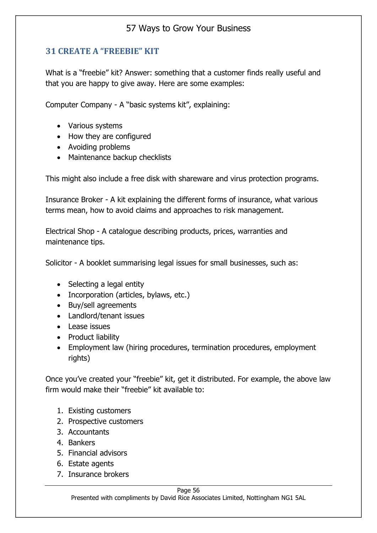### **31 CREATE A "FREEBIE" KIT**

What is a "freebie" kit? Answer: something that a customer finds really useful and that you are happy to give away. Here are some examples:

Computer Company - A "basic systems kit", explaining:

- Various systems
- How they are configured
- Avoiding problems
- Maintenance backup checklists

This might also include a free disk with shareware and virus protection programs.

Insurance Broker - A kit explaining the different forms of insurance, what various terms mean, how to avoid claims and approaches to risk management.

Electrical Shop - A catalogue describing products, prices, warranties and maintenance tips.

Solicitor - A booklet summarising legal issues for small businesses, such as:

- Selecting a legal entity
- Incorporation (articles, bylaws, etc.)
- Buy/sell agreements
- Landlord/tenant issues
- Lease issues
- Product liability
- Employment law (hiring procedures, termination procedures, employment rights)

Once you've created your "freebie" kit, get it distributed. For example, the above law firm would make their "freebie" kit available to:

- 1. Existing customers
- 2. Prospective customers
- 3. Accountants
- 4. Bankers
- 5. Financial advisors
- 6. Estate agents
- 7. Insurance brokers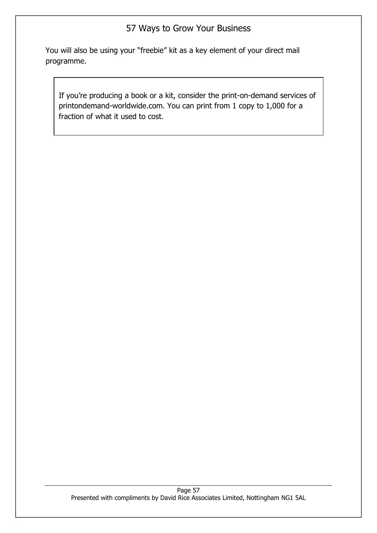You will also be using your "freebie" kit as a key element of your direct mail programme.

If you're producing a book or a kit, consider the print-on-demand services of printondemand-worldwide.com. You can print from 1 copy to 1,000 for a fraction of what it used to cost.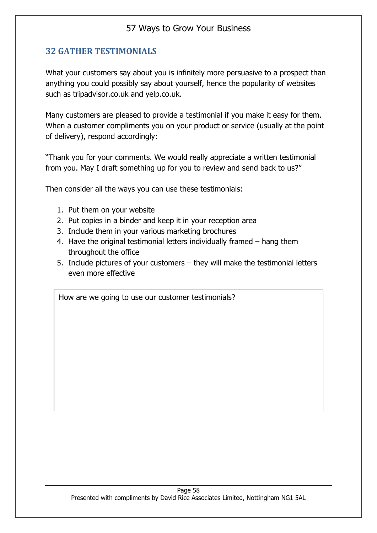### **32 GATHER TESTIMONIALS**

What your customers say about you is infinitely more persuasive to a prospect than anything you could possibly say about yourself, hence the popularity of websites such as tripadvisor.co.uk and yelp.co.uk.

Many customers are pleased to provide a testimonial if you make it easy for them. When a customer compliments you on your product or service (usually at the point of delivery), respond accordingly:

"Thank you for your comments. We would really appreciate a written testimonial from you. May I draft something up for you to review and send back to us?"

Then consider all the ways you can use these testimonials:

- 1. Put them on your website
- 2. Put copies in a binder and keep it in your reception area
- 3. Include them in your various marketing brochures
- 4. Have the original testimonial letters individually framed hang them throughout the office
- 5. Include pictures of your customers they will make the testimonial letters even more effective

How are we going to use our customer testimonials?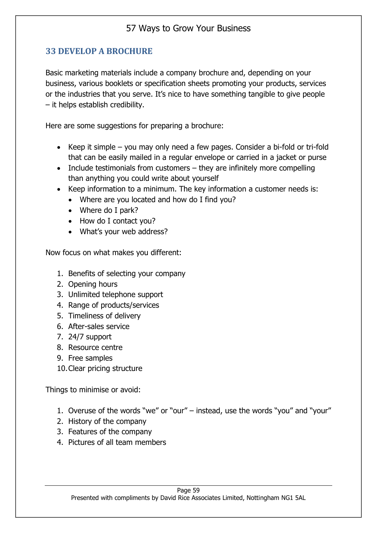## **33 DEVELOP A BROCHURE**

Basic marketing materials include a company brochure and, depending on your business, various booklets or specification sheets promoting your products, services or the industries that you serve. It's nice to have something tangible to give people – it helps establish credibility.

Here are some suggestions for preparing a brochure:

- Keep it simple you may only need a few pages. Consider a bi-fold or tri-fold that can be easily mailed in a regular envelope or carried in a jacket or purse
- Include testimonials from customers they are infinitely more compelling than anything you could write about yourself
- Keep information to a minimum. The key information a customer needs is:
	- Where are you located and how do I find you?
	- Where do I park?
	- How do I contact you?
	- What's your web address?

Now focus on what makes you different:

- 1. Benefits of selecting your company
- 2. Opening hours
- 3. Unlimited telephone support
- 4. Range of products/services
- 5. Timeliness of delivery
- 6. After-sales service
- 7. 24/7 support
- 8. Resource centre
- 9. Free samples
- 10.Clear pricing structure

Things to minimise or avoid:

- 1. Overuse of the words "we" or "our" instead, use the words "you" and "your"
- 2. History of the company
- 3. Features of the company
- 4. Pictures of all team members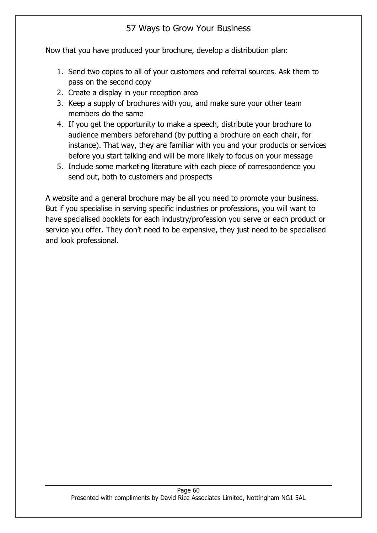Now that you have produced your brochure, develop a distribution plan:

- 1. Send two copies to all of your customers and referral sources. Ask them to pass on the second copy
- 2. Create a display in your reception area
- 3. Keep a supply of brochures with you, and make sure your other team members do the same
- 4. If you get the opportunity to make a speech, distribute your brochure to audience members beforehand (by putting a brochure on each chair, for instance). That way, they are familiar with you and your products or services before you start talking and will be more likely to focus on your message
- 5. Include some marketing literature with each piece of correspondence you send out, both to customers and prospects

A website and a general brochure may be all you need to promote your business. But if you specialise in serving specific industries or professions, you will want to have specialised booklets for each industry/profession you serve or each product or service you offer. They don't need to be expensive, they just need to be specialised and look professional.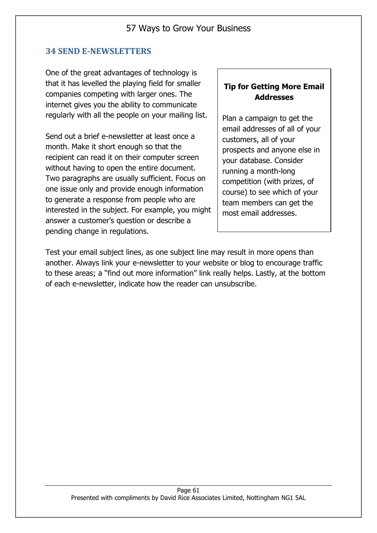#### **34 SEND E-NEWSLETTERS**

One of the great advantages of technology is that it has levelled the playing field for smaller companies competing with larger ones. The internet gives you the ability to communicate regularly with all the people on your mailing list.

Send out a brief e-newsletter at least once a month. Make it short enough so that the recipient can read it on their computer screen without having to open the entire document. Two paragraphs are usually sufficient. Focus on one issue only and provide enough information to generate a response from people who are interested in the subject. For example, you might answer a customer's question or describe a pending change in regulations.

#### **Tip for Getting More Email Addresses**

Plan a campaign to get the email addresses of all of your customers, all of your prospects and anyone else in your database. Consider running a month-long competition (with prizes, of course) to see which of your team members can get the most email addresses.

Test your email subject lines, as one subject line may result in more opens than another. Always link your e-newsletter to your website or blog to encourage traffic to these areas; a "find out more information" link really helps. Lastly, at the bottom of each e-newsletter, indicate how the reader can unsubscribe.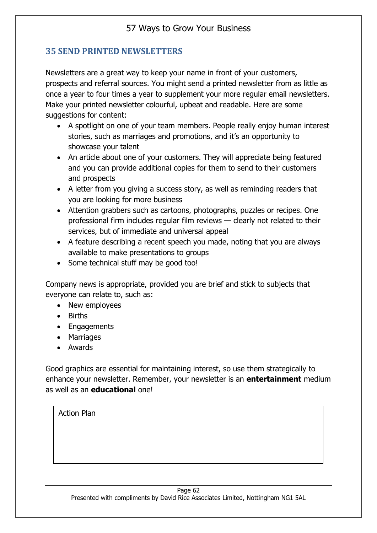### **35 SEND PRINTED NEWSLETTERS**

Newsletters are a great way to keep your name in front of your customers, prospects and referral sources. You might send a printed newsletter from as little as once a year to four times a year to supplement your more regular email newsletters. Make your printed newsletter colourful, upbeat and readable. Here are some suggestions for content:

- A spotlight on one of your team members. People really enjoy human interest stories, such as marriages and promotions, and it's an opportunity to showcase your talent
- An article about one of your customers. They will appreciate being featured and you can provide additional copies for them to send to their customers and prospects
- A letter from you giving a success story, as well as reminding readers that you are looking for more business
- Attention grabbers such as cartoons, photographs, puzzles or recipes. One professional firm includes regular film reviews — clearly not related to their services, but of immediate and universal appeal
- A feature describing a recent speech you made, noting that you are always available to make presentations to groups
- Some technical stuff may be good too!

Company news is appropriate, provided you are brief and stick to subjects that everyone can relate to, such as:

- New employees
- Births
- Engagements
- Marriages
- Awards

Good graphics are essential for maintaining interest, so use them strategically to enhance your newsletter. Remember, your newsletter is an **entertainment** medium as well as an **educational** one!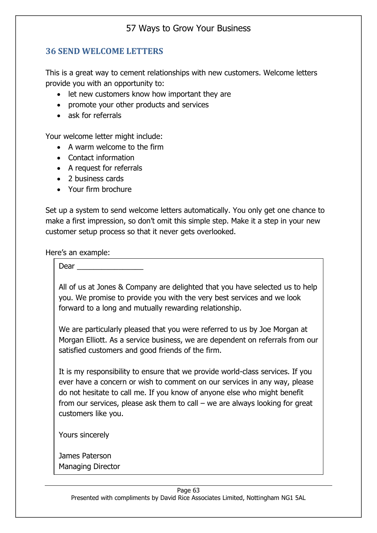### **36 SEND WELCOME LETTERS**

This is a great way to cement relationships with new customers. Welcome letters provide you with an opportunity to:

- let new customers know how important they are
- promote your other products and services
- ask for referrals

Your welcome letter might include:

- A warm welcome to the firm
- Contact information
- A request for referrals
- 2 business cards
- Your firm brochure

Set up a system to send welcome letters automatically. You only get one chance to make a first impression, so don't omit this simple step. Make it a step in your new customer setup process so that it never gets overlooked.

Here's an example:

Dear

All of us at Jones & Company are delighted that you have selected us to help you. We promise to provide you with the very best services and we look forward to a long and mutually rewarding relationship.

We are particularly pleased that you were referred to us by Joe Morgan at Morgan Elliott. As a service business, we are dependent on referrals from our satisfied customers and good friends of the firm.

It is my responsibility to ensure that we provide world-class services. If you ever have a concern or wish to comment on our services in any way, please do not hesitate to call me. If you know of anyone else who might benefit from our services, please ask them to call – we are always looking for great customers like you.

Yours sincerely

James Paterson Managing Director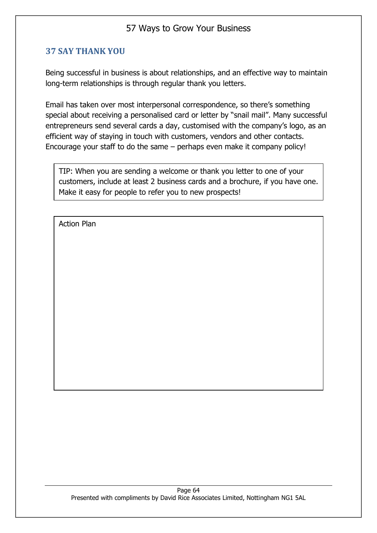### **37 SAY THANK YOU**

Being successful in business is about relationships, and an effective way to maintain long-term relationships is through regular thank you letters.

Email has taken over most interpersonal correspondence, so there's something special about receiving a personalised card or letter by "snail mail". Many successful entrepreneurs send several cards a day, customised with the company's logo, as an efficient way of staying in touch with customers, vendors and other contacts. Encourage your staff to do the same – perhaps even make it company policy!

TIP: When you are sending a welcome or thank you letter to one of your customers, include at least 2 business cards and a brochure, if you have one. Make it easy for people to refer you to new prospects!

Action Plan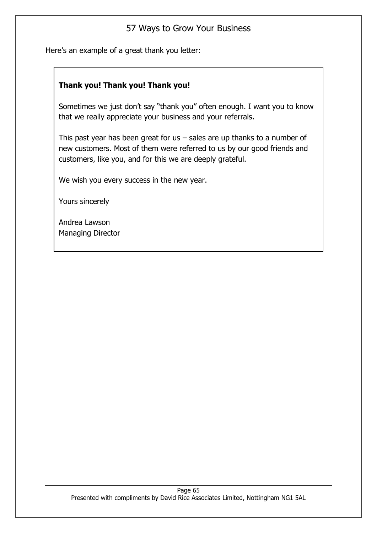Here's an example of a great thank you letter:

#### **Thank you! Thank you! Thank you!**

Sometimes we just don't say "thank you" often enough. I want you to know that we really appreciate your business and your referrals.

This past year has been great for us  $-$  sales are up thanks to a number of new customers. Most of them were referred to us by our good friends and customers, like you, and for this we are deeply grateful.

We wish you every success in the new year.

Yours sincerely

Andrea Lawson Managing Director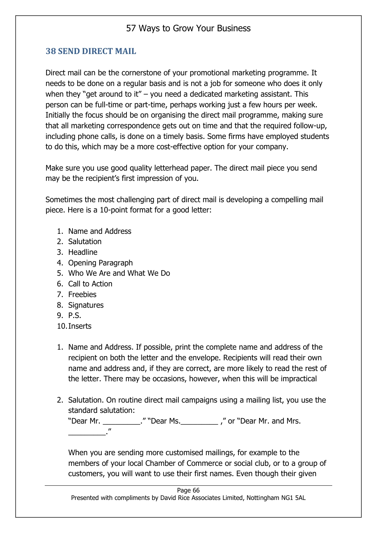### **38 SEND DIRECT MAIL**

Direct mail can be the cornerstone of your promotional marketing programme. It needs to be done on a regular basis and is not a job for someone who does it only when they "get around to it" – you need a dedicated marketing assistant. This person can be full-time or part-time, perhaps working just a few hours per week. Initially the focus should be on organising the direct mail programme, making sure that all marketing correspondence gets out on time and that the required follow-up, including phone calls, is done on a timely basis. Some firms have employed students to do this, which may be a more cost-effective option for your company.

Make sure you use good quality letterhead paper. The direct mail piece you send may be the recipient's first impression of you.

Sometimes the most challenging part of direct mail is developing a compelling mail piece. Here is a 10-point format for a good letter:

- 1. Name and Address
- 2. Salutation
- 3. Headline
- 4. Opening Paragraph
- 5. Who We Are and What We Do
- 6. Call to Action
- 7. Freebies
- 8. Signatures
- 9. P.S.
- 10.Inserts
- 1. Name and Address. If possible, print the complete name and address of the recipient on both the letter and the envelope. Recipients will read their own name and address and, if they are correct, are more likely to read the rest of the letter. There may be occasions, however, when this will be impractical
- 2. Salutation. On routine direct mail campaigns using a mailing list, you use the standard salutation:

"Dear Mr. \_\_\_\_\_\_\_\_\_\_\_." "Dear Ms. \_\_\_\_\_\_\_\_\_\_\_\_\_," or "Dear Mr. and Mrs. \_\_\_\_\_\_\_\_\_."

When you are sending more customised mailings, for example to the members of your local Chamber of Commerce or social club, or to a group of customers, you will want to use their first names. Even though their given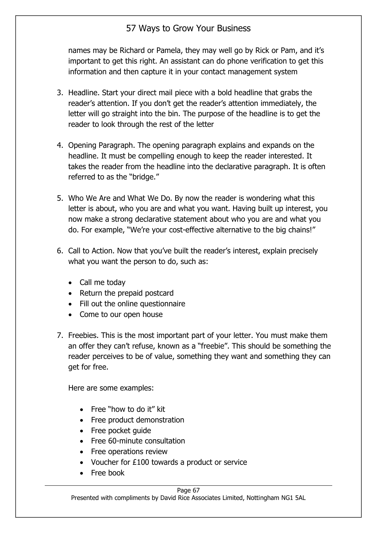names may be Richard or Pamela, they may well go by Rick or Pam, and it's important to get this right. An assistant can do phone verification to get this information and then capture it in your contact management system

- 3. Headline. Start your direct mail piece with a bold headline that grabs the reader's attention. If you don't get the reader's attention immediately, the letter will go straight into the bin. The purpose of the headline is to get the reader to look through the rest of the letter
- 4. Opening Paragraph. The opening paragraph explains and expands on the headline. It must be compelling enough to keep the reader interested. It takes the reader from the headline into the declarative paragraph. It is often referred to as the "bridge."
- 5. Who We Are and What We Do. By now the reader is wondering what this letter is about, who you are and what you want. Having built up interest, you now make a strong declarative statement about who you are and what you do. For example, "We're your cost-effective alternative to the big chains!"
- 6. Call to Action. Now that you've built the reader's interest, explain precisely what you want the person to do, such as:
	- Call me today
	- Return the prepaid postcard
	- Fill out the online questionnaire
	- Come to our open house
- 7. Freebies. This is the most important part of your letter. You must make them an offer they can't refuse, known as a "freebie". This should be something the reader perceives to be of value, something they want and something they can get for free.

Here are some examples:

- Free "how to do it" kit
- Free product demonstration
- Free pocket quide
- Free 60-minute consultation
- Free operations review
- Voucher for £100 towards a product or service
- Free book

#### Page 67

Presented with compliments by David Rice Associates Limited, Nottingham NG1 5AL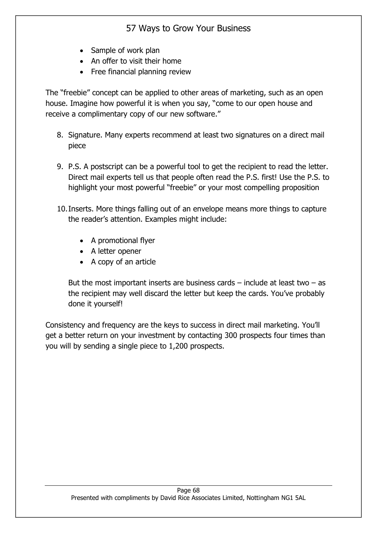- Sample of work plan
- An offer to visit their home
- Free financial planning review

The "freebie" concept can be applied to other areas of marketing, such as an open house. Imagine how powerful it is when you say, "come to our open house and receive a complimentary copy of our new software."

- 8. Signature. Many experts recommend at least two signatures on a direct mail piece
- 9. P.S. A postscript can be a powerful tool to get the recipient to read the letter. Direct mail experts tell us that people often read the P.S. first! Use the P.S. to highlight your most powerful "freebie" or your most compelling proposition
- 10.Inserts. More things falling out of an envelope means more things to capture the reader's attention. Examples might include:
	- A promotional flyer
	- A letter opener
	- A copy of an article

But the most important inserts are business cards  $-$  include at least two  $-$  as the recipient may well discard the letter but keep the cards. You've probably done it yourself!

Consistency and frequency are the keys to success in direct mail marketing. You'll get a better return on your investment by contacting 300 prospects four times than you will by sending a single piece to 1,200 prospects.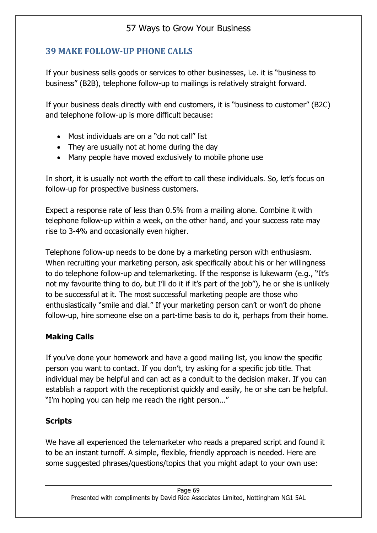### **39 MAKE FOLLOW-UP PHONE CALLS**

If your business sells goods or services to other businesses, i.e. it is "business to business" (B2B), telephone follow-up to mailings is relatively straight forward.

If your business deals directly with end customers, it is "business to customer" (B2C) and telephone follow-up is more difficult because:

- Most individuals are on a "do not call" list
- They are usually not at home during the day
- Many people have moved exclusively to mobile phone use

In short, it is usually not worth the effort to call these individuals. So, let's focus on follow-up for prospective business customers.

Expect a response rate of less than 0.5% from a mailing alone. Combine it with telephone follow-up within a week, on the other hand, and your success rate may rise to 3-4% and occasionally even higher.

Telephone follow-up needs to be done by a marketing person with enthusiasm. When recruiting your marketing person, ask specifically about his or her willingness to do telephone follow-up and telemarketing. If the response is lukewarm (e.g., "It's not my favourite thing to do, but I'll do it if it's part of the job"), he or she is unlikely to be successful at it. The most successful marketing people are those who enthusiastically "smile and dial." If your marketing person can't or won't do phone follow-up, hire someone else on a part-time basis to do it, perhaps from their home.

### **Making Calls**

If you've done your homework and have a good mailing list, you know the specific person you want to contact. If you don't, try asking for a specific job title. That individual may be helpful and can act as a conduit to the decision maker. If you can establish a rapport with the receptionist quickly and easily, he or she can be helpful. "I'm hoping you can help me reach the right person…"

### **Scripts**

We have all experienced the telemarketer who reads a prepared script and found it to be an instant turnoff. A simple, flexible, friendly approach is needed. Here are some suggested phrases/questions/topics that you might adapt to your own use: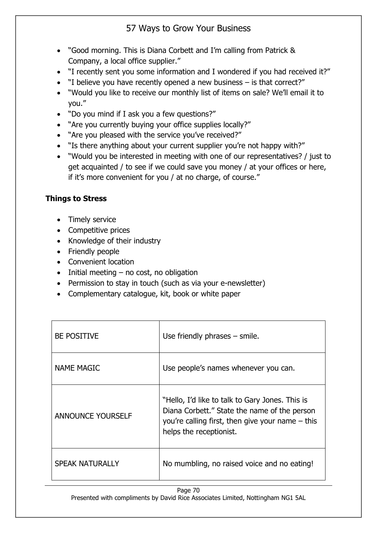- "Good morning. This is Diana Corbett and I'm calling from Patrick & Company, a local office supplier."
- "I recently sent you some information and I wondered if you had received it?"
- "I believe you have recently opened a new business is that correct?"
- "Would you like to receive our monthly list of items on sale? We'll email it to you."
- "Do you mind if I ask you a few questions?"
- "Are you currently buying your office supplies locally?"
- "Are you pleased with the service you've received?"
- "Is there anything about your current supplier you're not happy with?"
- "Would you be interested in meeting with one of our representatives? / just to get acquainted / to see if we could save you money / at your offices or here, if it's more convenient for you / at no charge, of course."

### **Things to Stress**

- Timely service
- Competitive prices
- Knowledge of their industry
- Friendly people
- Convenient location
- $\bullet$  Initial meeting no cost, no obligation
- Permission to stay in touch (such as via your e-newsletter)
- Complementary catalogue, kit, book or white paper

| <b>BE POSITIVE</b>       | Use friendly phrases - smile.                                                                                                                                                    |
|--------------------------|----------------------------------------------------------------------------------------------------------------------------------------------------------------------------------|
| <b>NAME MAGIC</b>        | Use people's names whenever you can.                                                                                                                                             |
| <b>ANNOUNCE YOURSELF</b> | "Hello, I'd like to talk to Gary Jones. This is<br>Diana Corbett." State the name of the person<br>you're calling first, then give your name $-$ this<br>helps the receptionist. |
| <b>SPEAK NATURALLY</b>   | No mumbling, no raised voice and no eating!                                                                                                                                      |

Page 70 Presented with compliments by David Rice Associates Limited, Nottingham NG1 5AL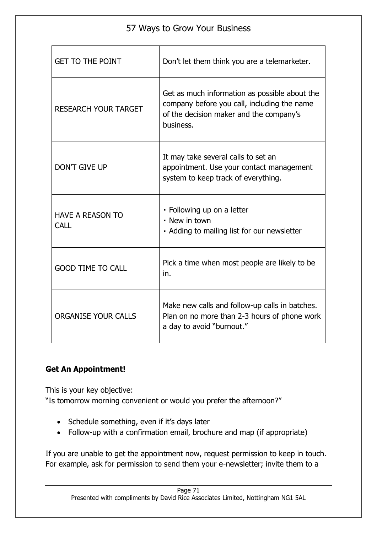| 57 Ways to Grow Your Business          |                                                                                                                                                      |  |
|----------------------------------------|------------------------------------------------------------------------------------------------------------------------------------------------------|--|
| <b>GET TO THE POINT</b>                | Don't let them think you are a telemarketer.                                                                                                         |  |
| <b>RESEARCH YOUR TARGET</b>            | Get as much information as possible about the<br>company before you call, including the name<br>of the decision maker and the company's<br>business. |  |
| <b>DON'T GIVE UP</b>                   | It may take several calls to set an<br>appointment. Use your contact management<br>system to keep track of everything.                               |  |
| <b>HAVE A REASON TO</b><br><b>CALL</b> | • Following up on a letter<br>• New in town<br>• Adding to mailing list for our newsletter                                                           |  |
| <b>GOOD TIME TO CALL</b>               | Pick a time when most people are likely to be<br>in.                                                                                                 |  |
| <b>ORGANISE YOUR CALLS</b>             | Make new calls and follow-up calls in batches.<br>Plan on no more than 2-3 hours of phone work<br>a day to avoid "burnout."                          |  |

## **Get An Appointment!**

This is your key objective: "Is tomorrow morning convenient or would you prefer the afternoon?"

- Schedule something, even if it's days later
- Follow-up with a confirmation email, brochure and map (if appropriate)

If you are unable to get the appointment now, request permission to keep in touch. For example, ask for permission to send them your e-newsletter; invite them to a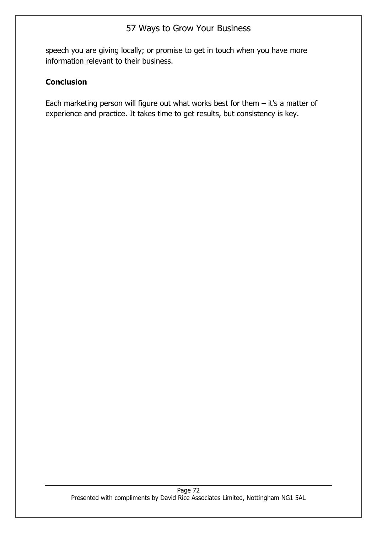speech you are giving locally; or promise to get in touch when you have more information relevant to their business.

#### **Conclusion**

Each marketing person will figure out what works best for them  $-$  it's a matter of experience and practice. It takes time to get results, but consistency is key.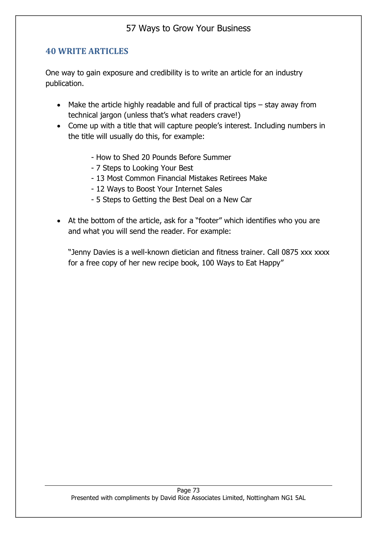### **40 WRITE ARTICLES**

One way to gain exposure and credibility is to write an article for an industry publication.

- Make the article highly readable and full of practical tips stay away from technical jargon (unless that's what readers crave!)
- Come up with a title that will capture people's interest. Including numbers in the title will usually do this, for example:
	- How to Shed 20 Pounds Before Summer
	- 7 Steps to Looking Your Best
	- 13 Most Common Financial Mistakes Retirees Make
	- 12 Ways to Boost Your Internet Sales
	- 5 Steps to Getting the Best Deal on a New Car
- At the bottom of the article, ask for a "footer" which identifies who you are and what you will send the reader. For example:

"Jenny Davies is a well-known dietician and fitness trainer. Call 0875 xxx xxxx for a free copy of her new recipe book, 100 Ways to Eat Happy"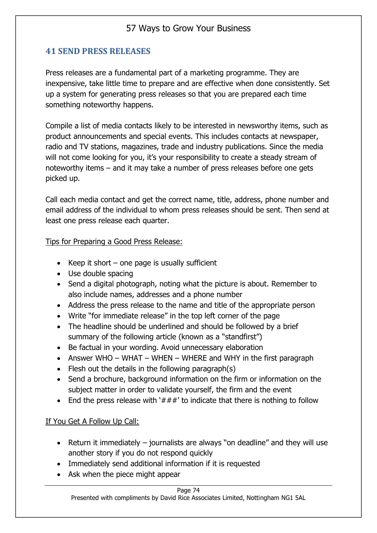# **41 SEND PRESS RELEASES**

Press releases are a fundamental part of a marketing programme. They are inexpensive, take little time to prepare and are effective when done consistently. Set up a system for generating press releases so that you are prepared each time something noteworthy happens.

Compile a list of media contacts likely to be interested in newsworthy items, such as product announcements and special events. This includes contacts at newspaper, radio and TV stations, magazines, trade and industry publications. Since the media will not come looking for you, it's your responsibility to create a steady stream of noteworthy items – and it may take a number of press releases before one gets picked up.

Call each media contact and get the correct name, title, address, phone number and email address of the individual to whom press releases should be sent. Then send at least one press release each quarter.

#### Tips for Preparing a Good Press Release:

- Keep it short  $-$  one page is usually sufficient
- Use double spacing
- Send a digital photograph, noting what the picture is about. Remember to also include names, addresses and a phone number
- Address the press release to the name and title of the appropriate person
- Write "for immediate release" in the top left corner of the page
- The headline should be underlined and should be followed by a brief summary of the following article (known as a "standfirst")
- Be factual in your wording. Avoid unnecessary elaboration
- Answer WHO WHAT WHEN WHERE and WHY in the first paragraph
- Flesh out the details in the following paragraph(s)
- Send a brochure, background information on the firm or information on the subject matter in order to validate yourself, the firm and the event
- End the press release with ' $###'$  to indicate that there is nothing to follow

### If You Get A Follow Up Call:

- Return it immediately journalists are always "on deadline" and they will use another story if you do not respond quickly
- Immediately send additional information if it is requested
- Ask when the piece might appear

#### Page 74

Presented with compliments by David Rice Associates Limited, Nottingham NG1 5AL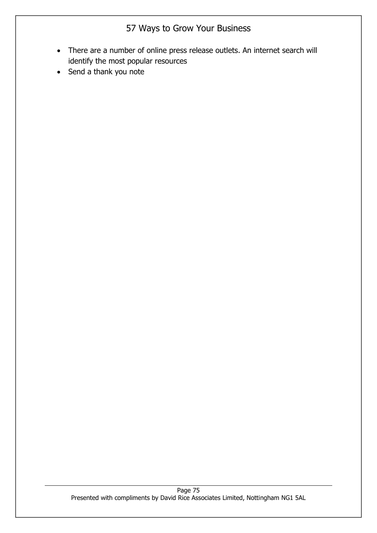- There are a number of online press release outlets. An internet search will identify the most popular resources
- Send a thank you note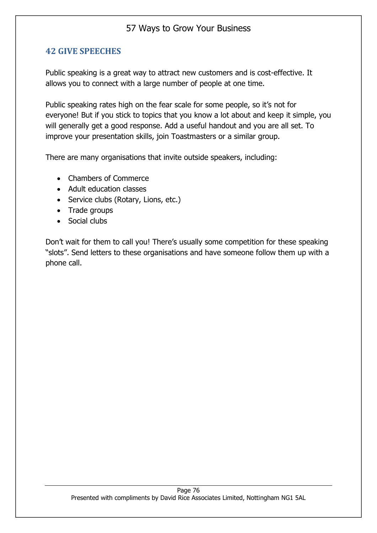## **42 GIVE SPEECHES**

Public speaking is a great way to attract new customers and is cost-effective. It allows you to connect with a large number of people at one time.

Public speaking rates high on the fear scale for some people, so it's not for everyone! But if you stick to topics that you know a lot about and keep it simple, you will generally get a good response. Add a useful handout and you are all set. To improve your presentation skills, join Toastmasters or a similar group.

There are many organisations that invite outside speakers, including:

- Chambers of Commerce
- Adult education classes
- Service clubs (Rotary, Lions, etc.)
- Trade groups
- Social clubs

Don't wait for them to call you! There's usually some competition for these speaking "slots". Send letters to these organisations and have someone follow them up with a phone call.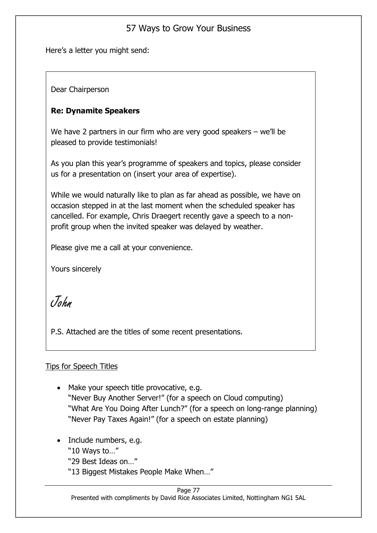Here's a letter you might send:

Dear Chairperson

### **Re: Dynamite Speakers**

We have 2 partners in our firm who are very good speakers – we'll be pleased to provide testimonials!

As you plan this year's programme of speakers and topics, please consider us for a presentation on (insert your area of expertise).

While we would naturally like to plan as far ahead as possible, we have on occasion stepped in at the last moment when the scheduled speaker has cancelled. For example, Chris Draegert recently gave a speech to a nonprofit group when the invited speaker was delayed by weather.

Please give me a call at your convenience.

Yours sincerely

John

P.S. Attached are the titles of some recent presentations.

### Tips for Speech Titles

- Make your speech title provocative, e.g. "Never Buy Another Server!" (for a speech on Cloud computing) "What Are You Doing After Lunch?" (for a speech on long-range planning) "Never Pay Taxes Again!" (for a speech on estate planning)
- Include numbers, e.g.
	- "10 Ways to…"
	- "29 Best Ideas on…"
	- "13 Biggest Mistakes People Make When…"

#### Page 77

Presented with compliments by David Rice Associates Limited, Nottingham NG1 5AL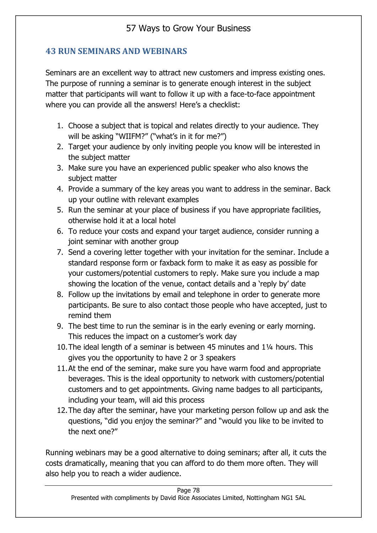# **43 RUN SEMINARS AND WEBINARS**

Seminars are an excellent way to attract new customers and impress existing ones. The purpose of running a seminar is to generate enough interest in the subject matter that participants will want to follow it up with a face-to-face appointment where you can provide all the answers! Here's a checklist:

- 1. Choose a subject that is topical and relates directly to your audience. They will be asking "WIIFM?" ("what's in it for me?")
- 2. Target your audience by only inviting people you know will be interested in the subject matter
- 3. Make sure you have an experienced public speaker who also knows the subject matter
- 4. Provide a summary of the key areas you want to address in the seminar. Back up your outline with relevant examples
- 5. Run the seminar at your place of business if you have appropriate facilities, otherwise hold it at a local hotel
- 6. To reduce your costs and expand your target audience, consider running a joint seminar with another group
- 7. Send a covering letter together with your invitation for the seminar. Include a standard response form or faxback form to make it as easy as possible for your customers/potential customers to reply. Make sure you include a map showing the location of the venue, contact details and a 'reply by' date
- 8. Follow up the invitations by email and telephone in order to generate more participants. Be sure to also contact those people who have accepted, just to remind them
- 9. The best time to run the seminar is in the early evening or early morning. This reduces the impact on a customer's work day
- 10.The ideal length of a seminar is between 45 minutes and 1¼ hours. This gives you the opportunity to have 2 or 3 speakers
- 11.At the end of the seminar, make sure you have warm food and appropriate beverages. This is the ideal opportunity to network with customers/potential customers and to get appointments. Giving name badges to all participants, including your team, will aid this process
- 12.The day after the seminar, have your marketing person follow up and ask the questions, "did you enjoy the seminar?" and "would you like to be invited to the next one?"

Running webinars may be a good alternative to doing seminars; after all, it cuts the costs dramatically, meaning that you can afford to do them more often. They will also help you to reach a wider audience.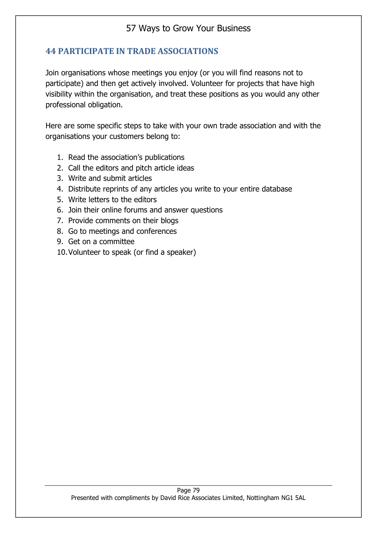## **44 PARTICIPATE IN TRADE ASSOCIATIONS**

Join organisations whose meetings you enjoy (or you will find reasons not to participate) and then get actively involved. Volunteer for projects that have high visibility within the organisation, and treat these positions as you would any other professional obligation.

Here are some specific steps to take with your own trade association and with the organisations your customers belong to:

- 1. Read the association's publications
- 2. Call the editors and pitch article ideas
- 3. Write and submit articles
- 4. Distribute reprints of any articles you write to your entire database
- 5. Write letters to the editors
- 6. Join their online forums and answer questions
- 7. Provide comments on their blogs
- 8. Go to meetings and conferences
- 9. Get on a committee
- 10.Volunteer to speak (or find a speaker)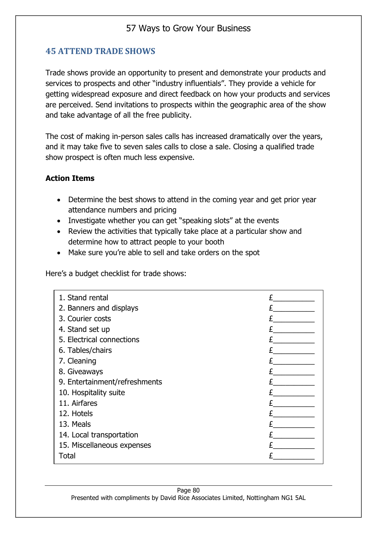# **45 ATTEND TRADE SHOWS**

Trade shows provide an opportunity to present and demonstrate your products and services to prospects and other "industry influentials". They provide a vehicle for getting widespread exposure and direct feedback on how your products and services are perceived. Send invitations to prospects within the geographic area of the show and take advantage of all the free publicity.

The cost of making in-person sales calls has increased dramatically over the years, and it may take five to seven sales calls to close a sale. Closing a qualified trade show prospect is often much less expensive.

#### **Action Items**

- Determine the best shows to attend in the coming year and get prior year attendance numbers and pricing
- Investigate whether you can get "speaking slots" at the events
- Review the activities that typically take place at a particular show and determine how to attract people to your booth
- Make sure you're able to sell and take orders on the spot

Here's a budget checklist for trade shows:

| 1. Stand rental               |  |
|-------------------------------|--|
| 2. Banners and displays       |  |
| 3. Courier costs              |  |
| 4. Stand set up               |  |
| 5. Electrical connections     |  |
| 6. Tables/chairs              |  |
| 7. Cleaning                   |  |
| 8. Giveaways                  |  |
| 9. Entertainment/refreshments |  |
| 10. Hospitality suite         |  |
| 11. Airfares                  |  |
| 12. Hotels                    |  |
| 13. Meals                     |  |
| 14. Local transportation      |  |
| 15. Miscellaneous expenses    |  |
| Total                         |  |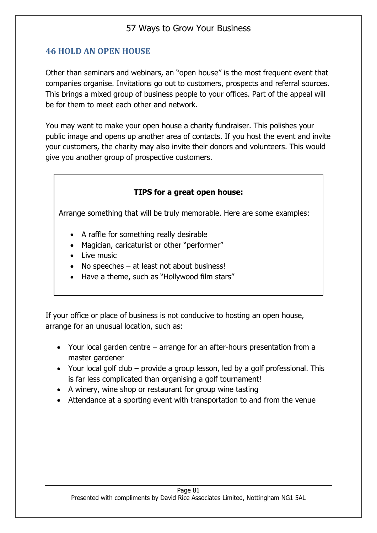### **46 HOLD AN OPEN HOUSE**

Other than seminars and webinars, an "open house" is the most frequent event that companies organise. Invitations go out to customers, prospects and referral sources. This brings a mixed group of business people to your offices. Part of the appeal will be for them to meet each other and network.

You may want to make your open house a charity fundraiser. This polishes your public image and opens up another area of contacts. If you host the event and invite your customers, the charity may also invite their donors and volunteers. This would give you another group of prospective customers.

#### **TIPS for a great open house:**

Arrange something that will be truly memorable. Here are some examples:

- A raffle for something really desirable
- Magician, caricaturist or other "performer"
- Live music
- No speeches at least not about business!
- Have a theme, such as "Hollywood film stars"

If your office or place of business is not conducive to hosting an open house, arrange for an unusual location, such as:

- Your local garden centre arrange for an after-hours presentation from a master gardener
- Your local golf club provide a group lesson, led by a golf professional. This is far less complicated than organising a golf tournament!
- A winery, wine shop or restaurant for group wine tasting
- Attendance at a sporting event with transportation to and from the venue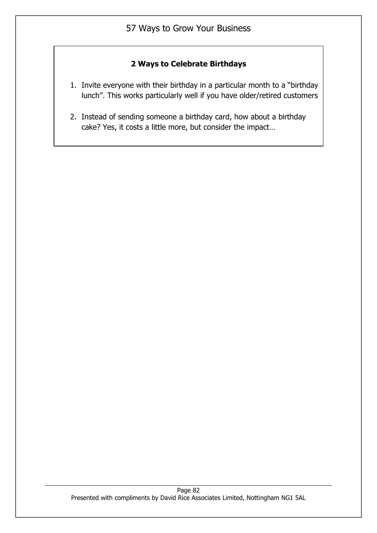### **2 Ways to Celebrate Birthdays**

- 1. Invite everyone with their birthday in a particular month to a "birthday lunch". This works particularly well if you have older/retired customers
- 2. Instead of sending someone a birthday card, how about a birthday cake? Yes, it costs a little more, but consider the impact…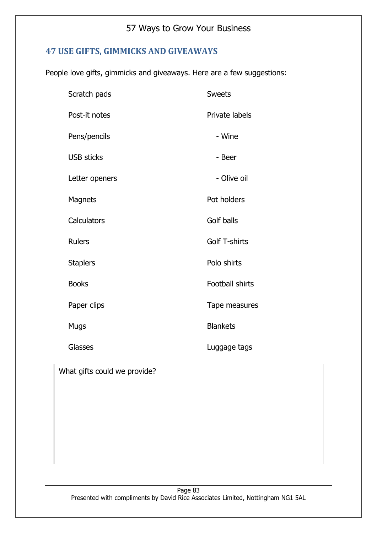# **47 USE GIFTS, GIMMICKS AND GIVEAWAYS**

People love gifts, gimmicks and giveaways. Here are a few suggestions:

| Scratch pads      | <b>Sweets</b>          |
|-------------------|------------------------|
| Post-it notes     | Private labels         |
| Pens/pencils      | - Wine                 |
| <b>USB sticks</b> | - Beer                 |
| Letter openers    | - Olive oil            |
| <b>Magnets</b>    | Pot holders            |
| Calculators       | Golf balls             |
| <b>Rulers</b>     | <b>Golf T-shirts</b>   |
| <b>Staplers</b>   | Polo shirts            |
| <b>Books</b>      | <b>Football shirts</b> |
| Paper clips       | Tape measures          |
| Mugs              | <b>Blankets</b>        |
| <b>Glasses</b>    | Luggage tags           |

What gifts could we provide?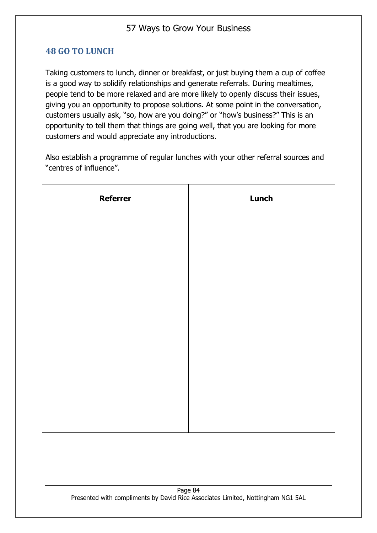### **48 GO TO LUNCH**

Taking customers to lunch, dinner or breakfast, or just buying them a cup of coffee is a good way to solidify relationships and generate referrals. During mealtimes, people tend to be more relaxed and are more likely to openly discuss their issues, giving you an opportunity to propose solutions. At some point in the conversation, customers usually ask, "so, how are you doing?" or "how's business?" This is an opportunity to tell them that things are going well, that you are looking for more customers and would appreciate any introductions.

Also establish a programme of regular lunches with your other referral sources and "centres of influence".

| <b>Referrer</b> | Lunch |
|-----------------|-------|
|                 |       |
|                 |       |
|                 |       |
|                 |       |
|                 |       |
|                 |       |
|                 |       |
|                 |       |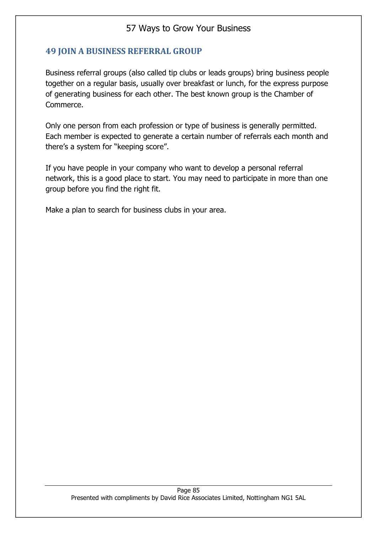## **49 JOIN A BUSINESS REFERRAL GROUP**

Business referral groups (also called tip clubs or leads groups) bring business people together on a regular basis, usually over breakfast or lunch, for the express purpose of generating business for each other. The best known group is the Chamber of Commerce.

Only one person from each profession or type of business is generally permitted. Each member is expected to generate a certain number of referrals each month and there's a system for "keeping score".

If you have people in your company who want to develop a personal referral network, this is a good place to start. You may need to participate in more than one group before you find the right fit.

Make a plan to search for business clubs in your area.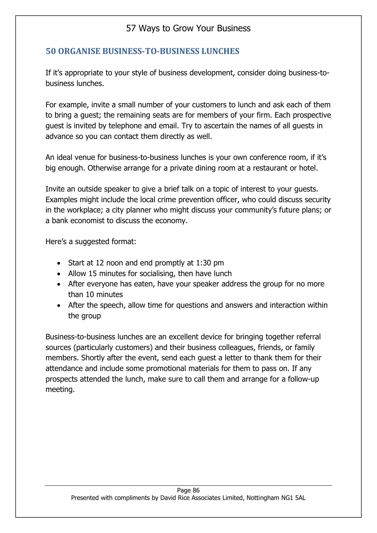## **50 ORGANISE BUSINESS-TO-BUSINESS LUNCHES**

If it's appropriate to your style of business development, consider doing business-tobusiness lunches.

For example, invite a small number of your customers to lunch and ask each of them to bring a guest; the remaining seats are for members of your firm. Each prospective guest is invited by telephone and email. Try to ascertain the names of all guests in advance so you can contact them directly as well.

An ideal venue for business-to-business lunches is your own conference room, if it's big enough. Otherwise arrange for a private dining room at a restaurant or hotel.

Invite an outside speaker to give a brief talk on a topic of interest to your guests. Examples might include the local crime prevention officer, who could discuss security in the workplace; a city planner who might discuss your community's future plans; or a bank economist to discuss the economy.

Here's a suggested format:

- Start at 12 noon and end promptly at 1:30 pm
- Allow 15 minutes for socialising, then have lunch
- After everyone has eaten, have your speaker address the group for no more than 10 minutes
- After the speech, allow time for questions and answers and interaction within the group

Business-to-business lunches are an excellent device for bringing together referral sources (particularly customers) and their business colleagues, friends, or family members. Shortly after the event, send each guest a letter to thank them for their attendance and include some promotional materials for them to pass on. If any prospects attended the lunch, make sure to call them and arrange for a follow-up meeting.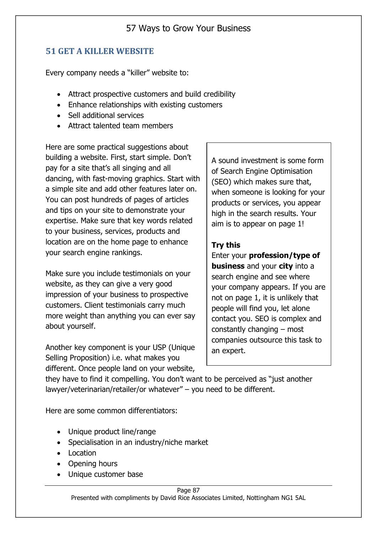### **51 GET A KILLER WEBSITE**

Every company needs a "killer" website to:

- Attract prospective customers and build credibility
- Enhance relationships with existing customers
- Sell additional services
- Attract talented team members

Here are some practical suggestions about building a website. First, start simple. Don't pay for a site that's all singing and all dancing, with fast-moving graphics. Start with a simple site and add other features later on. You can post hundreds of pages of articles and tips on your site to demonstrate your expertise. Make sure that key words related to your business, services, products and location are on the home page to enhance your search engine rankings.

Make sure you include testimonials on your website, as they can give a very good impression of your business to prospective customers. Client testimonials carry much more weight than anything you can ever say about yourself.

Another key component is your USP (Unique Selling Proposition) i.e. what makes you different. Once people land on your website,

A sound investment is some form of Search Engine Optimisation (SEO) which makes sure that, when someone is looking for your products or services, you appear high in the search results. Your aim is to appear on page 1!

#### **Try this**

Enter your **profession/type of business** and your **city** into a search engine and see where your company appears. If you are not on page 1, it is unlikely that people will find you, let alone contact you. SEO is complex and constantly changing – most companies outsource this task to an expert.

they have to find it compelling. You don't want to be perceived as "just another lawyer/veterinarian/retailer/or whatever" – you need to be different.

Here are some common differentiators:

- Unique product line/range
- Specialisation in an industry/niche market
- Location
- Opening hours
- Unique customer base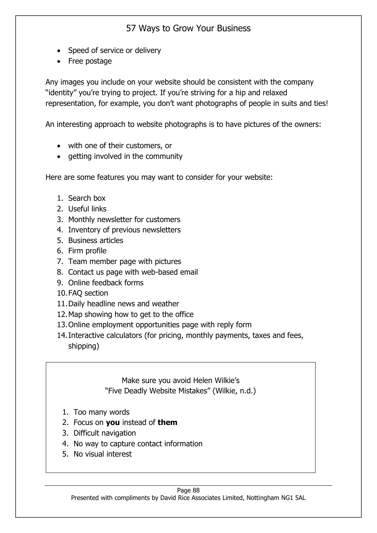- Speed of service or delivery
- Free postage

Any images you include on your website should be consistent with the company "identity" you're trying to project. If you're striving for a hip and relaxed representation, for example, you don't want photographs of people in suits and ties!

An interesting approach to website photographs is to have pictures of the owners:

- with one of their customers, or
- getting involved in the community

Here are some features you may want to consider for your website:

- 1. Search box
- 2. Useful links
- 3. Monthly newsletter for customers
- 4. Inventory of previous newsletters
- 5. Business articles
- 6. Firm profile
- 7. Team member page with pictures
- 8. Contact us page with web-based email
- 9. Online feedback forms
- 10.FAQ section
- 11.Daily headline news and weather
- 12.Map showing how to get to the office
- 13.Online employment opportunities page with reply form
- 14.Interactive calculators (for pricing, monthly payments, taxes and fees, shipping)

Make sure you avoid Helen Wilkie's "Five Deadly Website Mistakes" (Wilkie, n.d.)

- 1. Too many words
- 2. Focus on **you** instead of **them**
- 3. Difficult navigation
- 4. No way to capture contact information
- 5. No visual interest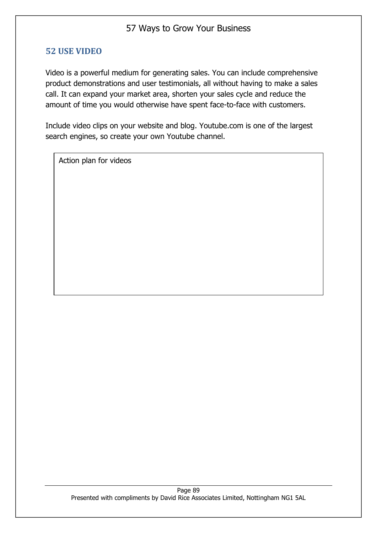### **52 USE VIDEO**

Video is a powerful medium for generating sales. You can include comprehensive product demonstrations and user testimonials, all without having to make a sales call. It can expand your market area, shorten your sales cycle and reduce the amount of time you would otherwise have spent face-to-face with customers.

Include video clips on your website and blog. Youtube.com is one of the largest search engines, so create your own Youtube channel.

Action plan for videos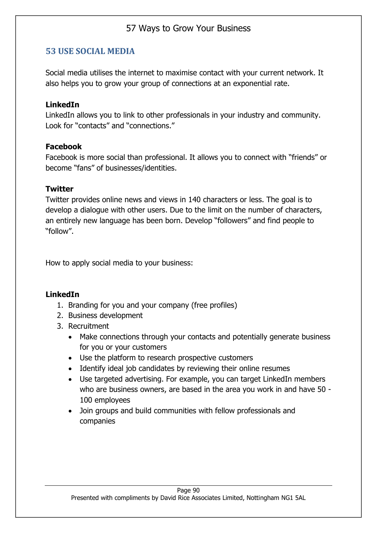## **53 USE SOCIAL MEDIA**

Social media utilises the internet to maximise contact with your current network. It also helps you to grow your group of connections at an exponential rate.

#### **LinkedIn**

LinkedIn allows you to link to other professionals in your industry and community. Look for "contacts" and "connections."

#### **Facebook**

Facebook is more social than professional. It allows you to connect with "friends" or become "fans" of businesses/identities.

#### **Twitter**

Twitter provides online news and views in 140 characters or less. The goal is to develop a dialogue with other users. Due to the limit on the number of characters, an entirely new language has been born. Develop "followers" and find people to "follow".

How to apply social media to your business:

### **LinkedIn**

- 1. Branding for you and your company (free profiles)
- 2. Business development
- 3. Recruitment
	- Make connections through your contacts and potentially generate business for you or your customers
	- Use the platform to research prospective customers
	- Identify ideal job candidates by reviewing their online resumes
	- Use targeted advertising. For example, you can target LinkedIn members who are business owners, are based in the area you work in and have 50 - 100 employees
	- Join groups and build communities with fellow professionals and companies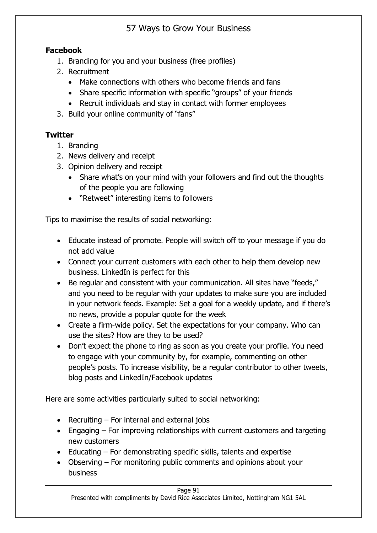## **Facebook**

- 1. Branding for you and your business (free profiles)
- 2. Recruitment
	- Make connections with others who become friends and fans
	- Share specific information with specific "groups" of your friends
	- Recruit individuals and stay in contact with former employees
- 3. Build your online community of "fans"

## **Twitter**

- 1. Branding
- 2. News delivery and receipt
- 3. Opinion delivery and receipt
	- Share what's on your mind with your followers and find out the thoughts of the people you are following
	- "Retweet" interesting items to followers

Tips to maximise the results of social networking:

- Educate instead of promote. People will switch off to your message if you do not add value
- Connect your current customers with each other to help them develop new business. LinkedIn is perfect for this
- Be regular and consistent with your communication. All sites have "feeds," and you need to be regular with your updates to make sure you are included in your network feeds. Example: Set a goal for a weekly update, and if there's no news, provide a popular quote for the week
- Create a firm-wide policy. Set the expectations for your company. Who can use the sites? How are they to be used?
- Don't expect the phone to ring as soon as you create your profile. You need to engage with your community by, for example, commenting on other people's posts. To increase visibility, be a regular contributor to other tweets, blog posts and LinkedIn/Facebook updates

Here are some activities particularly suited to social networking:

- Recruiting For internal and external jobs
- Engaging For improving relationships with current customers and targeting new customers
- Educating For demonstrating specific skills, talents and expertise
- Observing For monitoring public comments and opinions about your business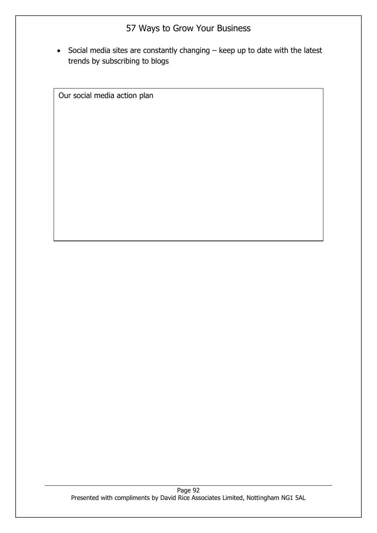• Social media sites are constantly changing – keep up to date with the latest trends by subscribing to blogs

Our social media action plan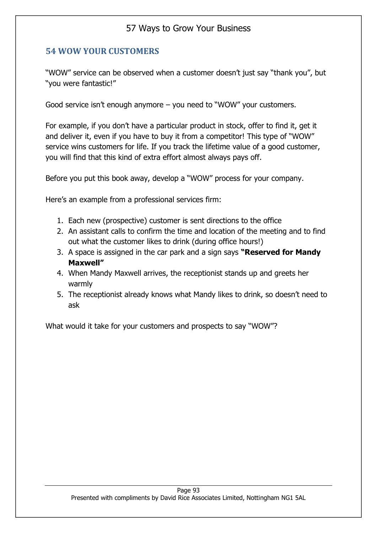## **54 WOW YOUR CUSTOMERS**

"WOW" service can be observed when a customer doesn't just say "thank you", but "you were fantastic!"

Good service isn't enough anymore – you need to "WOW" your customers.

For example, if you don't have a particular product in stock, offer to find it, get it and deliver it, even if you have to buy it from a competitor! This type of "WOW" service wins customers for life. If you track the lifetime value of a good customer, you will find that this kind of extra effort almost always pays off.

Before you put this book away, develop a "WOW" process for your company.

Here's an example from a professional services firm:

- 1. Each new (prospective) customer is sent directions to the office
- 2. An assistant calls to confirm the time and location of the meeting and to find out what the customer likes to drink (during office hours!)
- 3. A space is assigned in the car park and a sign says **"Reserved for Mandy Maxwell"**
- 4. When Mandy Maxwell arrives, the receptionist stands up and greets her warmly
- 5. The receptionist already knows what Mandy likes to drink, so doesn't need to ask

What would it take for your customers and prospects to say "WOW"?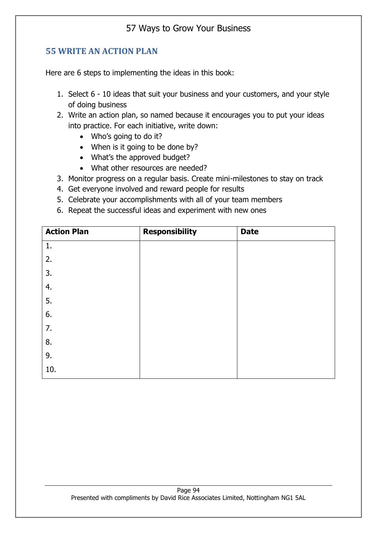## **55 WRITE AN ACTION PLAN**

Here are 6 steps to implementing the ideas in this book:

- 1. Select 6 10 ideas that suit your business and your customers, and your style of doing business
- 2. Write an action plan, so named because it encourages you to put your ideas into practice. For each initiative, write down:
	- Who's going to do it?
	- When is it going to be done by?
	- What's the approved budget?
	- What other resources are needed?
- 3. Monitor progress on a regular basis. Create mini-milestones to stay on track
- 4. Get everyone involved and reward people for results
- 5. Celebrate your accomplishments with all of your team members
- 6. Repeat the successful ideas and experiment with new ones

| <b>Action Plan</b> | <b>Responsibility</b> | <b>Date</b> |
|--------------------|-----------------------|-------------|
| 1.                 |                       |             |
| 2.                 |                       |             |
| 3.                 |                       |             |
| 4.                 |                       |             |
| 5.                 |                       |             |
| 6.                 |                       |             |
| 7.                 |                       |             |
| 8.                 |                       |             |
| 9.                 |                       |             |
| 10.                |                       |             |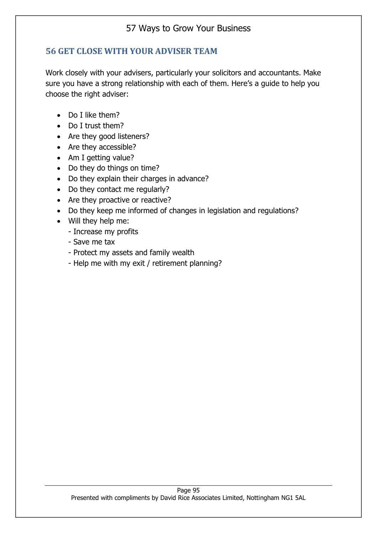## **56 GET CLOSE WITH YOUR ADVISER TEAM**

Work closely with your advisers, particularly your solicitors and accountants. Make sure you have a strong relationship with each of them. Here's a guide to help you choose the right adviser:

- Do I like them?
- Do I trust them?
- Are they good listeners?
- Are they accessible?
- Am I getting value?
- Do they do things on time?
- Do they explain their charges in advance?
- Do they contact me regularly?
- Are they proactive or reactive?
- Do they keep me informed of changes in legislation and regulations?
- Will they help me:
	- Increase my profits
	- Save me tax
	- Protect my assets and family wealth
	- Help me with my exit / retirement planning?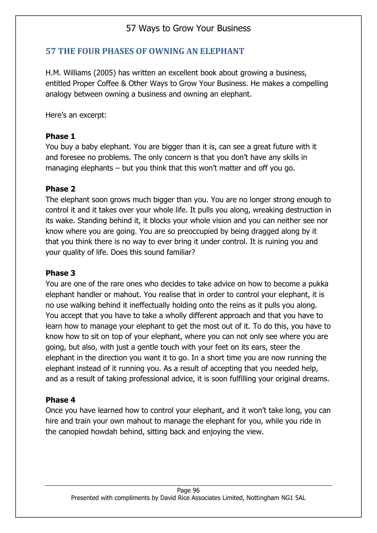## **57 THE FOUR PHASES OF OWNING AN ELEPHANT**

H.M. Williams (2005) has written an excellent book about growing a business, entitled Proper Coffee & Other Ways to Grow Your Business. He makes a compelling analogy between owning a business and owning an elephant.

Here's an excerpt:

#### **Phase 1**

You buy a baby elephant. You are bigger than it is, can see a great future with it and foresee no problems. The only concern is that you don't have any skills in managing elephants – but you think that this won't matter and off you go.

### **Phase 2**

The elephant soon grows much bigger than you. You are no longer strong enough to control it and it takes over your whole life. It pulls you along, wreaking destruction in its wake. Standing behind it, it blocks your whole vision and you can neither see nor know where you are going. You are so preoccupied by being dragged along by it that you think there is no way to ever bring it under control. It is ruining you and your quality of life. Does this sound familiar?

#### **Phase 3**

You are one of the rare ones who decides to take advice on how to become a pukka elephant handler or mahout. You realise that in order to control your elephant, it is no use walking behind it ineffectually holding onto the reins as it pulls you along. You accept that you have to take a wholly different approach and that you have to learn how to manage your elephant to get the most out of it. To do this, you have to know how to sit on top of your elephant, where you can not only see where you are going, but also, with just a gentle touch with your feet on its ears, steer the elephant in the direction you want it to go. In a short time you are now running the elephant instead of it running you. As a result of accepting that you needed help, and as a result of taking professional advice, it is soon fulfilling your original dreams.

### **Phase 4**

Once you have learned how to control your elephant, and it won't take long, you can hire and train your own mahout to manage the elephant for you, while you ride in the canopied howdah behind, sitting back and enjoying the view.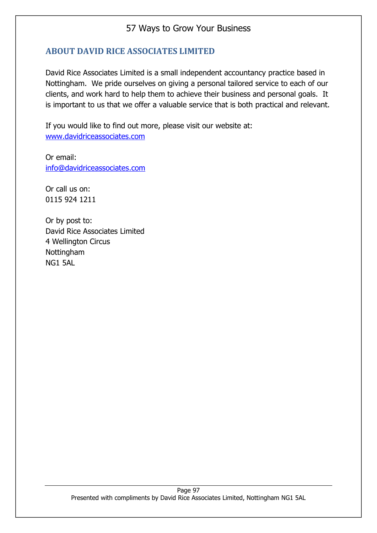## **ABOUT DAVID RICE ASSOCIATES LIMITED**

David Rice Associates Limited is a small independent accountancy practice based in Nottingham. We pride ourselves on giving a personal tailored service to each of our clients, and work hard to help them to achieve their business and personal goals. It is important to us that we offer a valuable service that is both practical and relevant.

If you would like to find out more, please visit our website at: [www.davidriceassociates.com](http://www.davidriceassociates.com/)

Or email: [info@davidriceassociates.com](mailto:info@davidriceassociates.com)

Or call us on: 0115 924 1211

Or by post to: David Rice Associates Limited 4 Wellington Circus Nottingham NG1 5AL